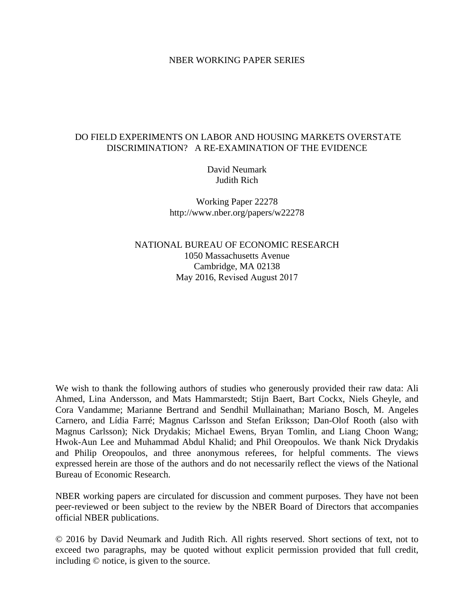### NBER WORKING PAPER SERIES

# DO FIELD EXPERIMENTS ON LABOR AND HOUSING MARKETS OVERSTATE DISCRIMINATION? A RE-EXAMINATION OF THE EVIDENCE

David Neumark Judith Rich

Working Paper 22278 http://www.nber.org/papers/w22278

NATIONAL BUREAU OF ECONOMIC RESEARCH 1050 Massachusetts Avenue Cambridge, MA 02138 May 2016, Revised August 2017

We wish to thank the following authors of studies who generously provided their raw data: Ali Ahmed, Lina Andersson, and Mats Hammarstedt; Stijn Baert, Bart Cockx, Niels Gheyle, and Cora Vandamme; Marianne Bertrand and Sendhil Mullainathan; Mariano Bosch, M. Angeles Carnero, and Lídia Farré; Magnus Carlsson and Stefan Eriksson; Dan-Olof Rooth (also with Magnus Carlsson); Nick Drydakis; Michael Ewens, Bryan Tomlin, and Liang Choon Wang; Hwok-Aun Lee and Muhammad Abdul Khalid; and Phil Oreopoulos. We thank Nick Drydakis and Philip Oreopoulos, and three anonymous referees, for helpful comments. The views expressed herein are those of the authors and do not necessarily reflect the views of the National Bureau of Economic Research.

NBER working papers are circulated for discussion and comment purposes. They have not been peer-reviewed or been subject to the review by the NBER Board of Directors that accompanies official NBER publications.

© 2016 by David Neumark and Judith Rich. All rights reserved. Short sections of text, not to exceed two paragraphs, may be quoted without explicit permission provided that full credit, including © notice, is given to the source.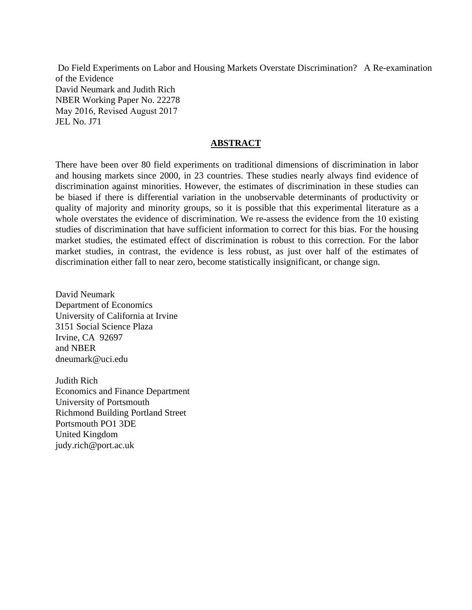Do Field Experiments on Labor and Housing Markets Overstate Discrimination? A Re-examination of the Evidence David Neumark and Judith Rich NBER Working Paper No. 22278 May 2016, Revised August 2017 JEL No. J71

## **ABSTRACT**

There have been over 80 field experiments on traditional dimensions of discrimination in labor and housing markets since 2000, in 23 countries. These studies nearly always find evidence of discrimination against minorities. However, the estimates of discrimination in these studies can be biased if there is differential variation in the unobservable determinants of productivity or quality of majority and minority groups, so it is possible that this experimental literature as a whole overstates the evidence of discrimination. We re-assess the evidence from the 10 existing studies of discrimination that have sufficient information to correct for this bias. For the housing market studies, the estimated effect of discrimination is robust to this correction. For the labor market studies, in contrast, the evidence is less robust, as just over half of the estimates of discrimination either fall to near zero, become statistically insignificant, or change sign.

David Neumark Department of Economics University of California at Irvine 3151 Social Science Plaza Irvine, CA 92697 and NBER dneumark@uci.edu

Judith Rich Economics and Finance Department University of Portsmouth Richmond Building Portland Street Portsmouth PO1 3DE United Kingdom judy.rich@port.ac.uk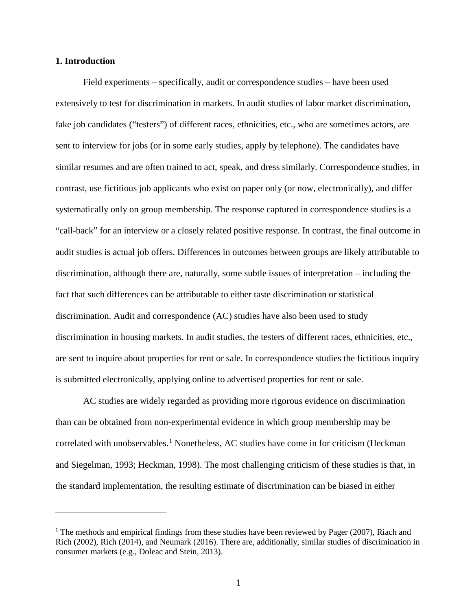### **1. Introduction**

 $\overline{a}$ 

Field experiments – specifically, audit or correspondence studies – have been used extensively to test for discrimination in markets. In audit studies of labor market discrimination, fake job candidates ("testers") of different races, ethnicities, etc., who are sometimes actors, are sent to interview for jobs (or in some early studies, apply by telephone). The candidates have similar resumes and are often trained to act, speak, and dress similarly. Correspondence studies, in contrast, use fictitious job applicants who exist on paper only (or now, electronically), and differ systematically only on group membership. The response captured in correspondence studies is a "call-back" for an interview or a closely related positive response. In contrast, the final outcome in audit studies is actual job offers. Differences in outcomes between groups are likely attributable to discrimination, although there are, naturally, some subtle issues of interpretation – including the fact that such differences can be attributable to either taste discrimination or statistical discrimination. Audit and correspondence (AC) studies have also been used to study discrimination in housing markets. In audit studies, the testers of different races, ethnicities, etc., are sent to inquire about properties for rent or sale. In correspondence studies the fictitious inquiry is submitted electronically, applying online to advertised properties for rent or sale.

AC studies are widely regarded as providing more rigorous evidence on discrimination than can be obtained from non-experimental evidence in which group membership may be correlated with unobservables.<sup>[1](#page-2-0)</sup> Nonetheless, AC studies have come in for criticism (Heckman and Siegelman, 1993; Heckman, 1998). The most challenging criticism of these studies is that, in the standard implementation, the resulting estimate of discrimination can be biased in either

<span id="page-2-0"></span><sup>&</sup>lt;sup>1</sup> The methods and empirical findings from these studies have been reviewed by Pager (2007), Riach and Rich (2002), Rich (2014), and Neumark (2016). There are, additionally, similar studies of discrimination in consumer markets (e.g., Doleac and Stein, 2013).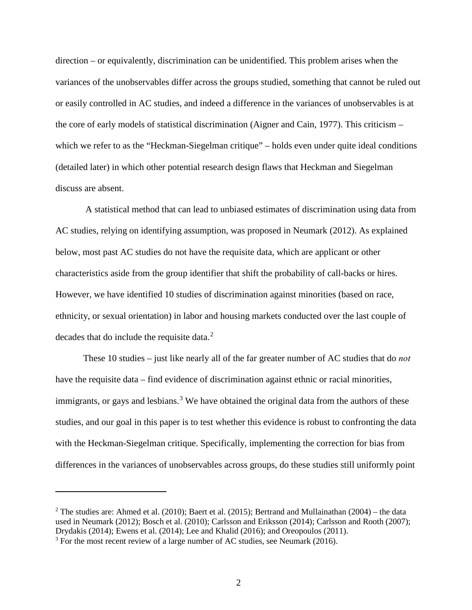direction – or equivalently, discrimination can be unidentified. This problem arises when the variances of the unobservables differ across the groups studied, something that cannot be ruled out or easily controlled in AC studies, and indeed a difference in the variances of unobservables is at the core of early models of statistical discrimination (Aigner and Cain, 1977). This criticism – which we refer to as the "Heckman-Siegelman critique" – holds even under quite ideal conditions (detailed later) in which other potential research design flaws that Heckman and Siegelman discuss are absent.

 A statistical method that can lead to unbiased estimates of discrimination using data from AC studies, relying on identifying assumption, was proposed in Neumark (2012). As explained below, most past AC studies do not have the requisite data, which are applicant or other characteristics aside from the group identifier that shift the probability of call-backs or hires. However, we have identified 10 studies of discrimination against minorities (based on race, ethnicity, or sexual orientation) in labor and housing markets conducted over the last couple of decades that do include the requisite data.<sup>[2](#page-3-0)</sup>

These 10 studies – just like nearly all of the far greater number of AC studies that do *not*  have the requisite data – find evidence of discrimination against ethnic or racial minorities, immigrants, or gays and lesbians.<sup>[3](#page-3-1)</sup> We have obtained the original data from the authors of these studies, and our goal in this paper is to test whether this evidence is robust to confronting the data with the Heckman-Siegelman critique. Specifically, implementing the correction for bias from differences in the variances of unobservables across groups, do these studies still uniformly point

<span id="page-3-1"></span><span id="page-3-0"></span><sup>&</sup>lt;sup>2</sup> The studies are: Ahmed et al. (2010); Baert et al. (2015); Bertrand and Mullainathan (2004) – the data used in Neumark (2012); Bosch et al. (2010); Carlsson and Eriksson (2014); Carlsson and Rooth (2007); Drydakis (2014); Ewens et al. (2014); Lee and Khalid (2016); and Oreopoulos (2011).  $3$  For the most recent review of a large number of AC studies, see Neumark (2016).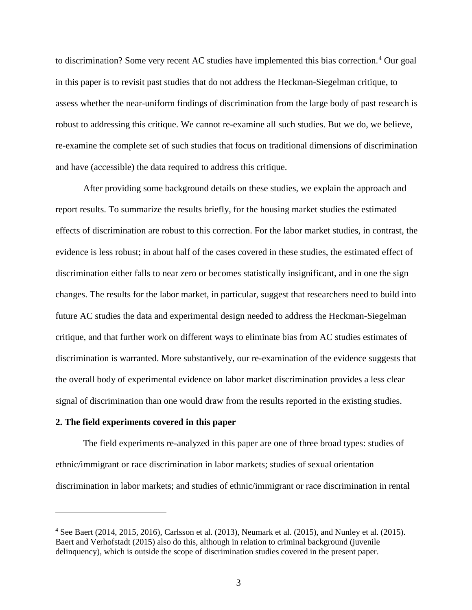to discrimination? Some very recent AC studies have implemented this bias correction.<sup>[4](#page-4-0)</sup> Our goal in this paper is to revisit past studies that do not address the Heckman-Siegelman critique, to assess whether the near-uniform findings of discrimination from the large body of past research is robust to addressing this critique. We cannot re-examine all such studies. But we do, we believe, re-examine the complete set of such studies that focus on traditional dimensions of discrimination and have (accessible) the data required to address this critique.

After providing some background details on these studies, we explain the approach and report results. To summarize the results briefly, for the housing market studies the estimated effects of discrimination are robust to this correction. For the labor market studies, in contrast, the evidence is less robust; in about half of the cases covered in these studies, the estimated effect of discrimination either falls to near zero or becomes statistically insignificant, and in one the sign changes. The results for the labor market, in particular, suggest that researchers need to build into future AC studies the data and experimental design needed to address the Heckman-Siegelman critique, and that further work on different ways to eliminate bias from AC studies estimates of discrimination is warranted. More substantively, our re-examination of the evidence suggests that the overall body of experimental evidence on labor market discrimination provides a less clear signal of discrimination than one would draw from the results reported in the existing studies.

### **2. The field experiments covered in this paper**

 $\overline{a}$ 

The field experiments re-analyzed in this paper are one of three broad types: studies of ethnic/immigrant or race discrimination in labor markets; studies of sexual orientation discrimination in labor markets; and studies of ethnic/immigrant or race discrimination in rental

<span id="page-4-0"></span> $4$  See Baert (2014, 2015, 2016), Carlsson et al. (2013), Neumark et al. (2015), and Nunley et al. (2015). Baert and Verhofstadt (2015) also do this, although in relation to criminal background (juvenile delinquency), which is outside the scope of discrimination studies covered in the present paper.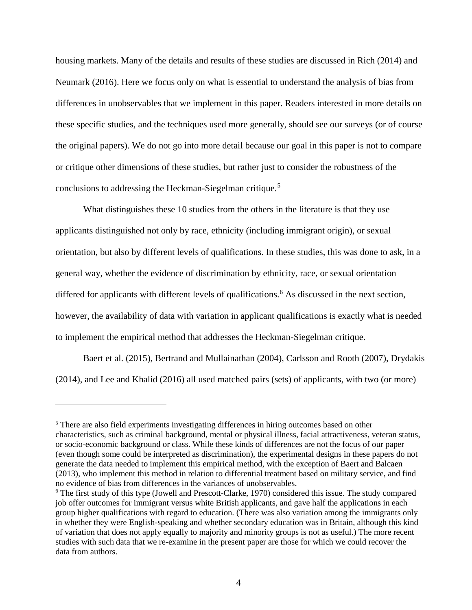housing markets. Many of the details and results of these studies are discussed in Rich (2014) and Neumark (2016). Here we focus only on what is essential to understand the analysis of bias from differences in unobservables that we implement in this paper. Readers interested in more details on these specific studies, and the techniques used more generally, should see our surveys (or of course the original papers). We do not go into more detail because our goal in this paper is not to compare or critique other dimensions of these studies, but rather just to consider the robustness of the conclusions to addressing the Heckman-Siegelman critique.<sup>[5](#page-5-0)</sup>

What distinguishes these 10 studies from the others in the literature is that they use applicants distinguished not only by race, ethnicity (including immigrant origin), or sexual orientation, but also by different levels of qualifications. In these studies, this was done to ask, in a general way, whether the evidence of discrimination by ethnicity, race, or sexual orientation differed for applicants with different levels of qualifications.<sup>[6](#page-5-1)</sup> As discussed in the next section, however, the availability of data with variation in applicant qualifications is exactly what is needed to implement the empirical method that addresses the Heckman-Siegelman critique.

Baert et al. (2015), Bertrand and Mullainathan (2004), Carlsson and Rooth (2007), Drydakis (2014), and Lee and Khalid (2016) all used matched pairs (sets) of applicants, with two (or more)

<span id="page-5-0"></span><sup>&</sup>lt;sup>5</sup> There are also field experiments investigating differences in hiring outcomes based on other characteristics, such as criminal background, mental or physical illness, facial attractiveness, veteran status, or socio-economic background or class. While these kinds of differences are not the focus of our paper (even though some could be interpreted as discrimination), the experimental designs in these papers do not generate the data needed to implement this empirical method, with the exception of Baert and Balcaen (2013), who implement this method in relation to differential treatment based on military service, and find no evidence of bias from differences in the variances of unobservables.

<span id="page-5-1"></span><sup>&</sup>lt;sup>6</sup> The first study of this type (Jowell and Prescott-Clarke, 1970) considered this issue. The study compared job offer outcomes for immigrant versus white British applicants, and gave half the applications in each group higher qualifications with regard to education. (There was also variation among the immigrants only in whether they were English-speaking and whether secondary education was in Britain, although this kind of variation that does not apply equally to majority and minority groups is not as useful.) The more recent studies with such data that we re-examine in the present paper are those for which we could recover the data from authors.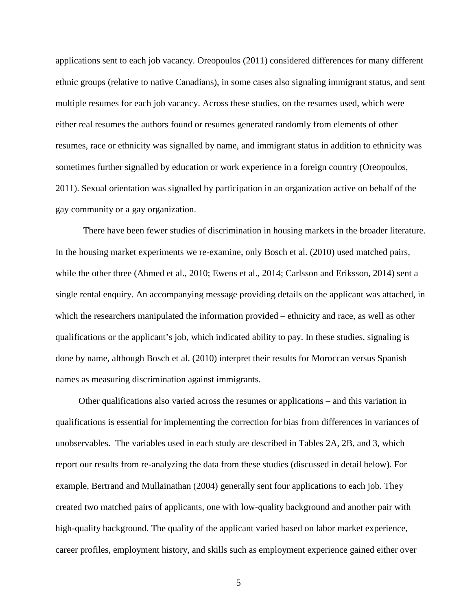applications sent to each job vacancy. Oreopoulos (2011) considered differences for many different ethnic groups (relative to native Canadians), in some cases also signaling immigrant status, and sent multiple resumes for each job vacancy. Across these studies, on the resumes used, which were either real resumes the authors found or resumes generated randomly from elements of other resumes, race or ethnicity was signalled by name, and immigrant status in addition to ethnicity was sometimes further signalled by education or work experience in a foreign country (Oreopoulos, 2011). Sexual orientation was signalled by participation in an organization active on behalf of the gay community or a gay organization.

There have been fewer studies of discrimination in housing markets in the broader literature. In the housing market experiments we re-examine, only Bosch et al. (2010) used matched pairs, while the other three (Ahmed et al., 2010; Ewens et al., 2014; Carlsson and Eriksson, 2014) sent a single rental enquiry. An accompanying message providing details on the applicant was attached, in which the researchers manipulated the information provided – ethnicity and race, as well as other qualifications or the applicant's job, which indicated ability to pay. In these studies, signaling is done by name, although Bosch et al. (2010) interpret their results for Moroccan versus Spanish names as measuring discrimination against immigrants.

 Other qualifications also varied across the resumes or applications – and this variation in qualifications is essential for implementing the correction for bias from differences in variances of unobservables. The variables used in each study are described in Tables 2A, 2B, and 3, which report our results from re-analyzing the data from these studies (discussed in detail below). For example, Bertrand and Mullainathan (2004) generally sent four applications to each job. They created two matched pairs of applicants, one with low-quality background and another pair with high-quality background. The quality of the applicant varied based on labor market experience, career profiles, employment history, and skills such as employment experience gained either over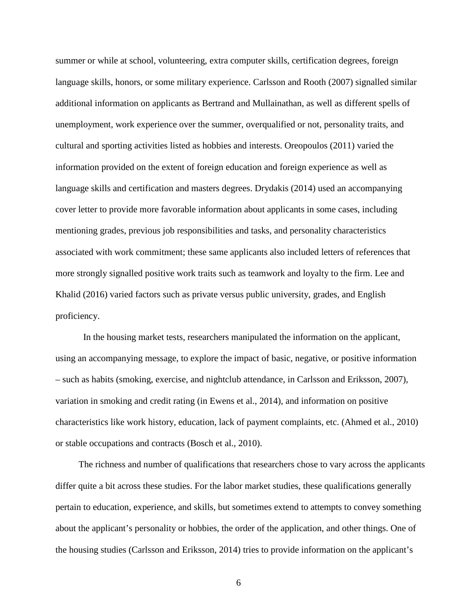summer or while at school, volunteering, extra computer skills, certification degrees, foreign language skills, honors, or some military experience. Carlsson and Rooth (2007) signalled similar additional information on applicants as Bertrand and Mullainathan, as well as different spells of unemployment, work experience over the summer, overqualified or not, personality traits, and cultural and sporting activities listed as hobbies and interests. Oreopoulos (2011) varied the information provided on the extent of foreign education and foreign experience as well as language skills and certification and masters degrees. Drydakis (2014) used an accompanying cover letter to provide more favorable information about applicants in some cases, including mentioning grades, previous job responsibilities and tasks, and personality characteristics associated with work commitment; these same applicants also included letters of references that more strongly signalled positive work traits such as teamwork and loyalty to the firm. Lee and Khalid (2016) varied factors such as private versus public university, grades, and English proficiency.

In the housing market tests, researchers manipulated the information on the applicant, using an accompanying message, to explore the impact of basic, negative, or positive information – such as habits (smoking, exercise, and nightclub attendance, in Carlsson and Eriksson, 2007), variation in smoking and credit rating (in Ewens et al., 2014), and information on positive characteristics like work history, education, lack of payment complaints, etc. (Ahmed et al., 2010) or stable occupations and contracts (Bosch et al., 2010).

 The richness and number of qualifications that researchers chose to vary across the applicants differ quite a bit across these studies. For the labor market studies, these qualifications generally pertain to education, experience, and skills, but sometimes extend to attempts to convey something about the applicant's personality or hobbies, the order of the application, and other things. One of the housing studies (Carlsson and Eriksson, 2014) tries to provide information on the applicant's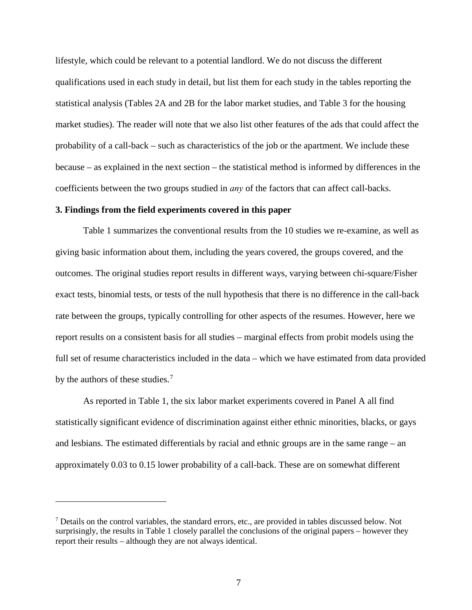lifestyle, which could be relevant to a potential landlord. We do not discuss the different qualifications used in each study in detail, but list them for each study in the tables reporting the statistical analysis (Tables 2A and 2B for the labor market studies, and Table 3 for the housing market studies). The reader will note that we also list other features of the ads that could affect the probability of a call-back – such as characteristics of the job or the apartment. We include these because – as explained in the next section – the statistical method is informed by differences in the coefficients between the two groups studied in *any* of the factors that can affect call-backs.

## **3. Findings from the field experiments covered in this paper**

 $\overline{a}$ 

Table 1 summarizes the conventional results from the 10 studies we re-examine, as well as giving basic information about them, including the years covered, the groups covered, and the outcomes. The original studies report results in different ways, varying between chi-square/Fisher exact tests, binomial tests, or tests of the null hypothesis that there is no difference in the call-back rate between the groups, typically controlling for other aspects of the resumes. However, here we report results on a consistent basis for all studies – marginal effects from probit models using the full set of resume characteristics included in the data – which we have estimated from data provided by the authors of these studies.<sup>[7](#page-8-0)</sup>

As reported in Table 1, the six labor market experiments covered in Panel A all find statistically significant evidence of discrimination against either ethnic minorities, blacks, or gays and lesbians. The estimated differentials by racial and ethnic groups are in the same range – an approximately 0.03 to 0.15 lower probability of a call-back. These are on somewhat different

<span id="page-8-0"></span> $<sup>7</sup>$  Details on the control variables, the standard errors, etc., are provided in tables discussed below. Not</sup> surprisingly, the results in Table 1 closely parallel the conclusions of the original papers – however they report their results – although they are not always identical.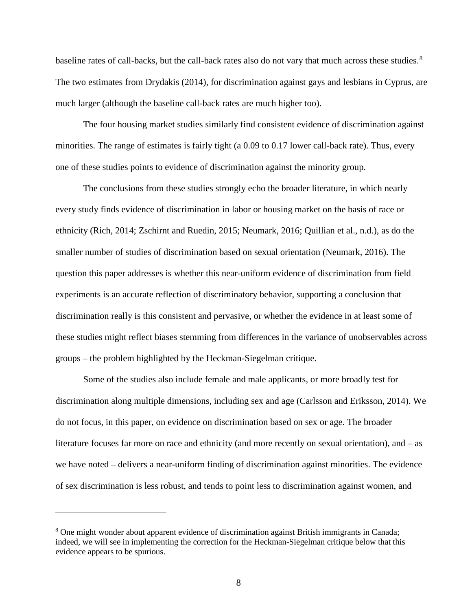baseline rates of call-backs, but the call-back rates also do not vary that much across these studies.<sup>[8](#page-9-0)</sup> The two estimates from Drydakis (2014), for discrimination against gays and lesbians in Cyprus, are much larger (although the baseline call-back rates are much higher too).

The four housing market studies similarly find consistent evidence of discrimination against minorities. The range of estimates is fairly tight (a 0.09 to 0.17 lower call-back rate). Thus, every one of these studies points to evidence of discrimination against the minority group.

The conclusions from these studies strongly echo the broader literature, in which nearly every study finds evidence of discrimination in labor or housing market on the basis of race or ethnicity (Rich, 2014; Zschirnt and Ruedin, 2015; Neumark, 2016; Quillian et al., n.d.), as do the smaller number of studies of discrimination based on sexual orientation (Neumark, 2016). The question this paper addresses is whether this near-uniform evidence of discrimination from field experiments is an accurate reflection of discriminatory behavior, supporting a conclusion that discrimination really is this consistent and pervasive, or whether the evidence in at least some of these studies might reflect biases stemming from differences in the variance of unobservables across groups – the problem highlighted by the Heckman-Siegelman critique.

Some of the studies also include female and male applicants, or more broadly test for discrimination along multiple dimensions, including sex and age (Carlsson and Eriksson, 2014). We do not focus, in this paper, on evidence on discrimination based on sex or age. The broader literature focuses far more on race and ethnicity (and more recently on sexual orientation), and – as we have noted – delivers a near-uniform finding of discrimination against minorities. The evidence of sex discrimination is less robust, and tends to point less to discrimination against women, and

<span id="page-9-0"></span><sup>&</sup>lt;sup>8</sup> One might wonder about apparent evidence of discrimination against British immigrants in Canada; indeed, we will see in implementing the correction for the Heckman-Siegelman critique below that this evidence appears to be spurious.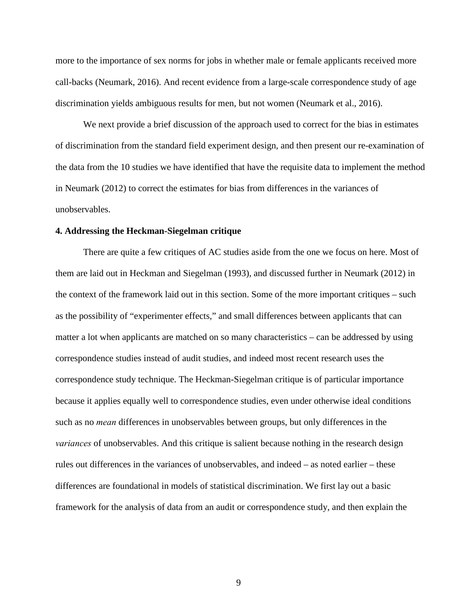more to the importance of sex norms for jobs in whether male or female applicants received more call-backs (Neumark, 2016). And recent evidence from a large-scale correspondence study of age discrimination yields ambiguous results for men, but not women (Neumark et al., 2016).

We next provide a brief discussion of the approach used to correct for the bias in estimates of discrimination from the standard field experiment design, and then present our re-examination of the data from the 10 studies we have identified that have the requisite data to implement the method in Neumark (2012) to correct the estimates for bias from differences in the variances of unobservables.

### **4. Addressing the Heckman-Siegelman critique**

There are quite a few critiques of AC studies aside from the one we focus on here. Most of them are laid out in Heckman and Siegelman (1993), and discussed further in Neumark (2012) in the context of the framework laid out in this section. Some of the more important critiques – such as the possibility of "experimenter effects," and small differences between applicants that can matter a lot when applicants are matched on so many characteristics – can be addressed by using correspondence studies instead of audit studies, and indeed most recent research uses the correspondence study technique. The Heckman-Siegelman critique is of particular importance because it applies equally well to correspondence studies, even under otherwise ideal conditions such as no *mean* differences in unobservables between groups, but only differences in the *variances* of unobservables. And this critique is salient because nothing in the research design rules out differences in the variances of unobservables, and indeed – as noted earlier – these differences are foundational in models of statistical discrimination. We first lay out a basic framework for the analysis of data from an audit or correspondence study, and then explain the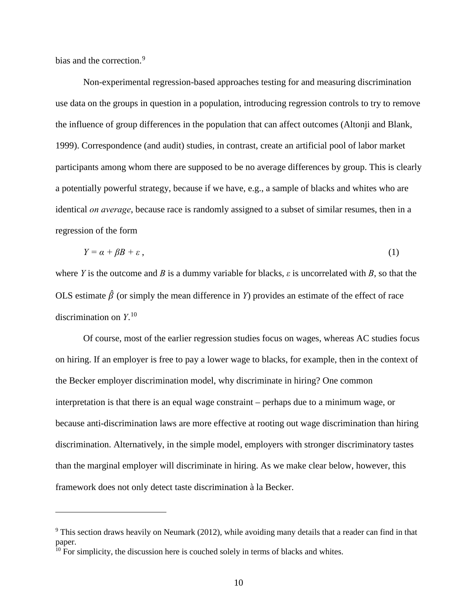bias and the correction.<sup>[9](#page-11-0)</sup>

 $\overline{a}$ 

Non-experimental regression-based approaches testing for and measuring discrimination use data on the groups in question in a population, introducing regression controls to try to remove the influence of group differences in the population that can affect outcomes (Altonji and Blank, 1999). Correspondence (and audit) studies, in contrast, create an artificial pool of labor market participants among whom there are supposed to be no average differences by group. This is clearly a potentially powerful strategy, because if we have, e.g., a sample of blacks and whites who are identical *on average*, because race is randomly assigned to a subset of similar resumes, then in a regression of the form

$$
Y = \alpha + \beta B + \varepsilon \,,\tag{1}
$$

where *Y* is the outcome and *B* is a dummy variable for blacks,  $\varepsilon$  is uncorrelated with *B*, so that the OLS estimate  $\hat{\beta}$  (or simply the mean difference in *Y*) provides an estimate of the effect of race discrimination on *Y*. [10](#page-11-1) 

Of course, most of the earlier regression studies focus on wages, whereas AC studies focus on hiring. If an employer is free to pay a lower wage to blacks, for example, then in the context of the Becker employer discrimination model, why discriminate in hiring? One common interpretation is that there is an equal wage constraint – perhaps due to a minimum wage, or because anti-discrimination laws are more effective at rooting out wage discrimination than hiring discrimination. Alternatively, in the simple model, employers with stronger discriminatory tastes than the marginal employer will discriminate in hiring. As we make clear below, however, this framework does not only detect taste discrimination à la Becker.

<span id="page-11-0"></span><sup>&</sup>lt;sup>9</sup> This section draws heavily on Neumark (2012), while avoiding many details that a reader can find in that paper.

<span id="page-11-1"></span> $10$  For simplicity, the discussion here is couched solely in terms of blacks and whites.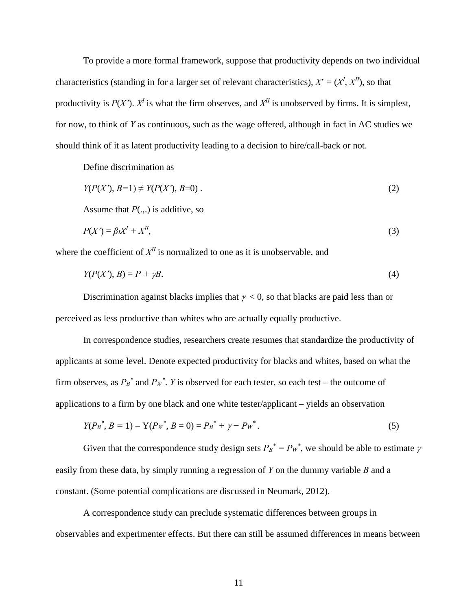To provide a more formal framework, suppose that productivity depends on two individual characteristics (standing in for a larger set of relevant characteristics),  $X = (X^I, X^{II})$ , so that productivity is  $P(X')$ .  $X<sup>I</sup>$  is what the firm observes, and  $X<sup>II</sup>$  is unobserved by firms. It is simplest, for now, to think of *Y* as continuous, such as the wage offered, although in fact in AC studies we should think of it as latent productivity leading to a decision to hire/call-back or not.

Define discrimination as

$$
Y(P(X'), B=1) \neq Y(P(X'), B=0) \tag{2}
$$

Assume that  $P(.,.)$  is additive, so

$$
P(X') = \beta_I X^I + X^{II},\tag{3}
$$

where the coefficient of  $X<sup>H</sup>$  is normalized to one as it is unobservable, and

$$
Y(P(X'), B) = P + \gamma B. \tag{4}
$$

Discrimination against blacks implies that  $\gamma < 0$ , so that blacks are paid less than or perceived as less productive than whites who are actually equally productive.

In correspondence studies, researchers create resumes that standardize the productivity of applicants at some level. Denote expected productivity for blacks and whites, based on what the firm observes, as  $P_B^*$  and  $P_W^*$ . *Y* is observed for each tester, so each test – the outcome of applications to a firm by one black and one white tester/applicant – yields an observation

$$
Y(P_B^*, B = 1) - Y(P_W^*, B = 0) = P_B^* + \gamma - P_W^*.
$$
\n<sup>(5)</sup>

Given that the correspondence study design sets  $P_B^* = P_W^*$ , we should be able to estimate  $\gamma$ easily from these data, by simply running a regression of *Y* on the dummy variable *B* and a constant. (Some potential complications are discussed in Neumark, 2012).

A correspondence study can preclude systematic differences between groups in observables and experimenter effects. But there can still be assumed differences in means between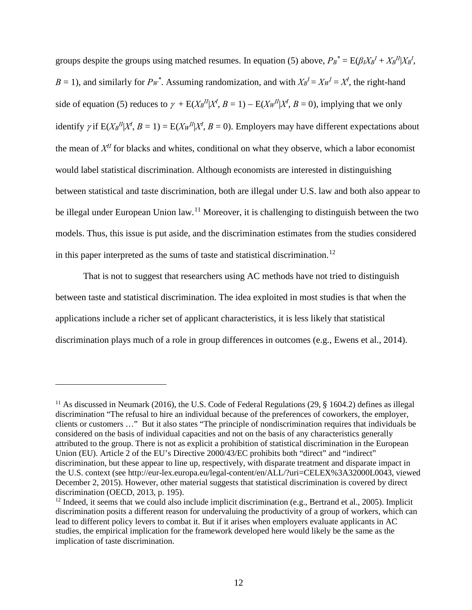groups despite the groups using matched resumes. In equation (5) above,  $P_B^* = E(\beta_l X_B^l + X_B^l X_B^l,$  $B = 1$ ), and similarly for  $P_W^*$ . Assuming randomization, and with  $X_B^I = X_W^I = X^I$ , the right-hand side of equation (5) reduces to  $\gamma + E(X_B^H | X^I, B = 1) - E(X_W^H | X^I, B = 0)$ , implying that we only identify  $\gamma$  if  $E(X_B^H | X^I, B = 1) = E(X_W^H | X^I, B = 0)$ . Employers may have different expectations about the mean of *XII* for blacks and whites, conditional on what they observe, which a labor economist would label statistical discrimination. Although economists are interested in distinguishing between statistical and taste discrimination, both are illegal under U.S. law and both also appear to be illegal under European Union law.<sup>11</sup> Moreover, it is challenging to distinguish between the two models. Thus, this issue is put aside, and the discrimination estimates from the studies considered in this paper interpreted as the sums of taste and statistical discrimination.[12](#page-13-1)

That is not to suggest that researchers using AC methods have not tried to distinguish between taste and statistical discrimination. The idea exploited in most studies is that when the applications include a richer set of applicant characteristics, it is less likely that statistical discrimination plays much of a role in group differences in outcomes (e.g., Ewens et al., 2014).

<span id="page-13-0"></span><sup>&</sup>lt;sup>11</sup> As discussed in Neumark (2016), the U.S. Code of Federal Regulations (29, § 1604.2) defines as illegal discrimination "The refusal to hire an individual because of the preferences of coworkers, the employer, clients or customers …" But it also states "The principle of nondiscrimination requires that individuals be considered on the basis of individual capacities and not on the basis of any characteristics generally attributed to the group. There is not as explicit a prohibition of statistical discrimination in the European Union (EU). Article 2 of the EU's Directive 2000/43/EC prohibits both "direct" and "indirect" discrimination, but these appear to line up, respectively, with disparate treatment and disparate impact in the U.S. context (see http://eur-lex.europa.eu/legal-content/en/ALL/?uri=CELEX%3A32000L0043, viewed December 2, 2015). However, other material suggests that statistical discrimination is covered by direct discrimination (OECD, 2013, p. 195).

<span id="page-13-1"></span> $12$  Indeed, it seems that we could also include implicit discrimination (e.g., Bertrand et al., 2005). Implicit discrimination posits a different reason for undervaluing the productivity of a group of workers, which can lead to different policy levers to combat it. But if it arises when employers evaluate applicants in AC studies, the empirical implication for the framework developed here would likely be the same as the implication of taste discrimination.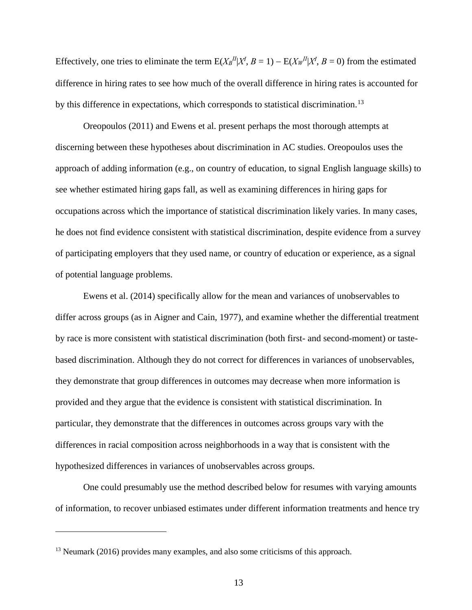Effectively, one tries to eliminate the term  $E(X_B^H | X^I, B = 1) - E(X_W^H | X^I, B = 0)$  from the estimated difference in hiring rates to see how much of the overall difference in hiring rates is accounted for by this difference in expectations, which corresponds to statistical discrimination.<sup>[13](#page-14-0)</sup>

Oreopoulos (2011) and Ewens et al. present perhaps the most thorough attempts at discerning between these hypotheses about discrimination in AC studies. Oreopoulos uses the approach of adding information (e.g., on country of education, to signal English language skills) to see whether estimated hiring gaps fall, as well as examining differences in hiring gaps for occupations across which the importance of statistical discrimination likely varies. In many cases, he does not find evidence consistent with statistical discrimination, despite evidence from a survey of participating employers that they used name, or country of education or experience, as a signal of potential language problems.

Ewens et al. (2014) specifically allow for the mean and variances of unobservables to differ across groups (as in Aigner and Cain, 1977), and examine whether the differential treatment by race is more consistent with statistical discrimination (both first- and second-moment) or tastebased discrimination. Although they do not correct for differences in variances of unobservables, they demonstrate that group differences in outcomes may decrease when more information is provided and they argue that the evidence is consistent with statistical discrimination. In particular, they demonstrate that the differences in outcomes across groups vary with the differences in racial composition across neighborhoods in a way that is consistent with the hypothesized differences in variances of unobservables across groups.

One could presumably use the method described below for resumes with varying amounts of information, to recover unbiased estimates under different information treatments and hence try

<span id="page-14-0"></span><sup>&</sup>lt;sup>13</sup> Neumark (2016) provides many examples, and also some criticisms of this approach.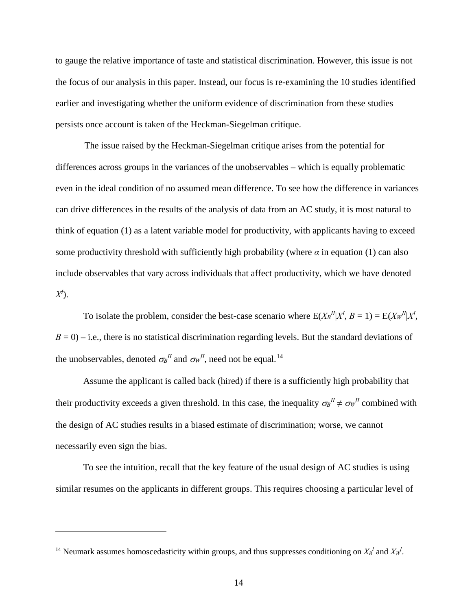to gauge the relative importance of taste and statistical discrimination. However, this issue is not the focus of our analysis in this paper. Instead, our focus is re-examining the 10 studies identified earlier and investigating whether the uniform evidence of discrimination from these studies persists once account is taken of the Heckman-Siegelman critique.

The issue raised by the Heckman-Siegelman critique arises from the potential for differences across groups in the variances of the unobservables – which is equally problematic even in the ideal condition of no assumed mean difference. To see how the difference in variances can drive differences in the results of the analysis of data from an AC study, it is most natural to think of equation (1) as a latent variable model for productivity, with applicants having to exceed some productivity threshold with sufficiently high probability (where  $\alpha$  in equation (1) can also include observables that vary across individuals that affect productivity, which we have denoted *XI* ).

To isolate the problem, consider the best-case scenario where  $E(X_B^H | X^I, B = 1) = E(X_W^H | X^I,$  $B = 0$ ) – i.e., there is no statistical discrimination regarding levels. But the standard deviations of the unobservables, denoted  $\sigma_B$ <sup>*II*</sup> and  $\sigma_W$ <sup>*II*</sup>, need not be equal.<sup>[14](#page-15-0)</sup>

Assume the applicant is called back (hired) if there is a sufficiently high probability that their productivity exceeds a given threshold. In this case, the inequality  $\sigma_B^H \neq \sigma_W^H$  combined with the design of AC studies results in a biased estimate of discrimination; worse, we cannot necessarily even sign the bias.

To see the intuition, recall that the key feature of the usual design of AC studies is using similar resumes on the applicants in different groups. This requires choosing a particular level of

<span id="page-15-0"></span><sup>&</sup>lt;sup>14</sup> Neumark assumes homoscedasticity within groups, and thus suppresses conditioning on  $X_B^I$  and  $X_W^I$ .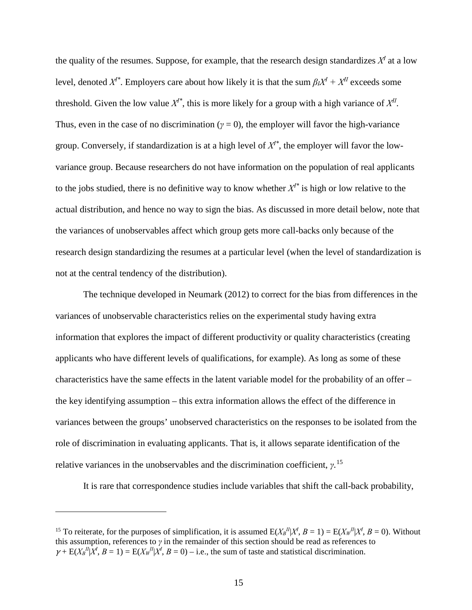the quality of the resumes. Suppose, for example, that the research design standardizes  $X<sup>I</sup>$  at a low level, denoted  $X^{I*}$ . Employers care about how likely it is that the sum  $\beta_I X^I + X^{II}$  exceeds some threshold. Given the low value  $X^{I^*}$ , this is more likely for a group with a high variance of  $X^{II}$ . Thus, even in the case of no discrimination ( $\gamma = 0$ ), the employer will favor the high-variance group. Conversely, if standardization is at a high level of  $X<sup>i*</sup>$ , the employer will favor the lowvariance group. Because researchers do not have information on the population of real applicants to the jobs studied, there is no definitive way to know whether  $X^{I*}$  is high or low relative to the actual distribution, and hence no way to sign the bias. As discussed in more detail below, note that the variances of unobservables affect which group gets more call-backs only because of the research design standardizing the resumes at a particular level (when the level of standardization is not at the central tendency of the distribution).

The technique developed in Neumark (2012) to correct for the bias from differences in the variances of unobservable characteristics relies on the experimental study having extra information that explores the impact of different productivity or quality characteristics (creating applicants who have different levels of qualifications, for example). As long as some of these characteristics have the same effects in the latent variable model for the probability of an offer – the key identifying assumption – this extra information allows the effect of the difference in variances between the groups' unobserved characteristics on the responses to be isolated from the role of discrimination in evaluating applicants. That is, it allows separate identification of the relative variances in the unobservables and the discrimination coefficient, *γ*. [15](#page-16-0) 

It is rare that correspondence studies include variables that shift the call-back probability,

<span id="page-16-0"></span><sup>&</sup>lt;sup>15</sup> To reiterate, for the purposes of simplification, it is assumed  $E(X_B^I | X^I, B = 1) = E(X_W^I | X^I, B = 0)$ . Without this assumption, references to *γ* in the remainder of this section should be read as references to  $\gamma + \mathbb{E}(X \mathbb{I}^H | X^I, B = 1) = \mathbb{E}(X \mathbb{I}^H | X^I, B = 0) - \text{i.e., the sum of taste and statistical discrimination.}$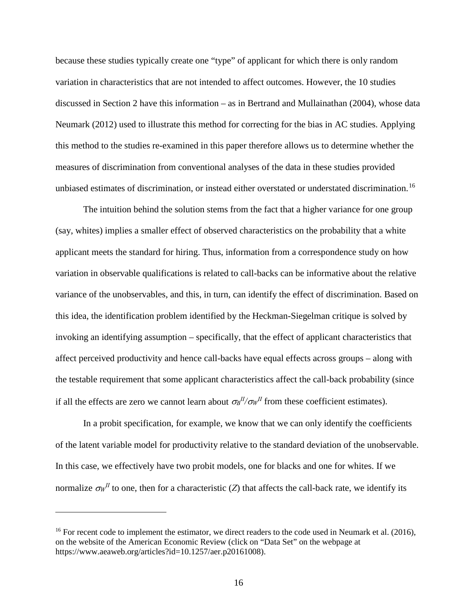because these studies typically create one "type" of applicant for which there is only random variation in characteristics that are not intended to affect outcomes. However, the 10 studies discussed in Section 2 have this information – as in Bertrand and Mullainathan (2004), whose data Neumark (2012) used to illustrate this method for correcting for the bias in AC studies. Applying this method to the studies re-examined in this paper therefore allows us to determine whether the measures of discrimination from conventional analyses of the data in these studies provided unbiased estimates of discrimination, or instead either overstated or understated discrimination.<sup>16</sup>

The intuition behind the solution stems from the fact that a higher variance for one group (say, whites) implies a smaller effect of observed characteristics on the probability that a white applicant meets the standard for hiring. Thus, information from a correspondence study on how variation in observable qualifications is related to call-backs can be informative about the relative variance of the unobservables, and this, in turn, can identify the effect of discrimination. Based on this idea, the identification problem identified by the Heckman-Siegelman critique is solved by invoking an identifying assumption – specifically, that the effect of applicant characteristics that affect perceived productivity and hence call-backs have equal effects across groups – along with the testable requirement that some applicant characteristics affect the call-back probability (since if all the effects are zero we cannot learn about  $\sigma_B^{II}/\sigma_W^{II}$  from these coefficient estimates).

In a probit specification, for example, we know that we can only identify the coefficients of the latent variable model for productivity relative to the standard deviation of the unobservable. In this case, we effectively have two probit models, one for blacks and one for whites. If we normalize  $\sigma_W^H$  to one, then for a characteristic (*Z*) that affects the call-back rate, we identify its

<span id="page-17-0"></span><sup>&</sup>lt;sup>16</sup> For recent code to implement the estimator, we direct readers to the code used in Neumark et al. (2016), on the website of the American Economic Review (click on "Data Set" on the webpage at https://www.aeaweb.org/articles?id=10.1257/aer.p20161008).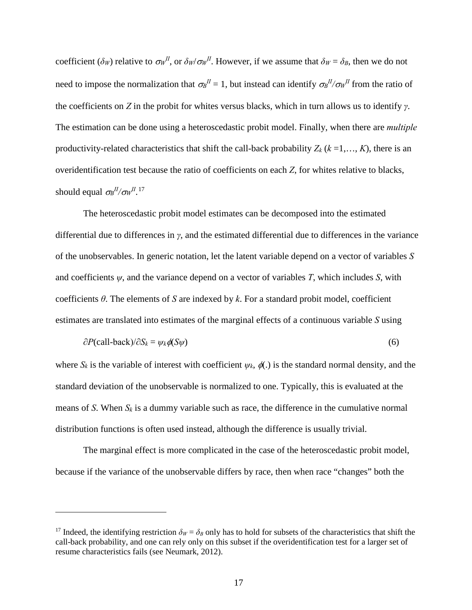coefficient ( $\delta_W$ ) relative to  $\sigma_W^H$ , or  $\delta_W/\sigma_W^H$ . However, if we assume that  $\delta_W = \delta_B$ , then we do not need to impose the normalization that  $\sigma_B^H = 1$ , but instead can identify  $\sigma_B^H/\sigma_W^H$  from the ratio of the coefficients on *Z* in the probit for whites versus blacks, which in turn allows us to identify *γ*. The estimation can be done using a heteroscedastic probit model. Finally, when there are *multiple* productivity-related characteristics that shift the call-back probability  $Z_k$  ( $k = 1, ..., K$ ), there is an overidentification test because the ratio of coefficients on each *Z*, for whites relative to blacks, should equal  $\sigma_B^{II}/\sigma_W^{II}$ .<sup>[17](#page-18-0)</sup>

The heteroscedastic probit model estimates can be decomposed into the estimated differential due to differences in *γ*, and the estimated differential due to differences in the variance of the unobservables. In generic notation, let the latent variable depend on a vector of variables *S* and coefficients  $\psi$ , and the variance depend on a vector of variables *T*, which includes *S*, with coefficients *θ*. The elements of *S* are indexed by *k*. For a standard probit model, coefficient estimates are translated into estimates of the marginal effects of a continuous variable *S* using

$$
\partial P(\text{call-back})/\partial S_k = \psi_k \phi(S\psi) \tag{6}
$$

where  $S_k$  is the variable of interest with coefficient  $\psi_k$ ,  $\phi(.)$  is the standard normal density, and the standard deviation of the unobservable is normalized to one. Typically, this is evaluated at the means of *S*. When  $S_k$  is a dummy variable such as race, the difference in the cumulative normal distribution functions is often used instead, although the difference is usually trivial.

The marginal effect is more complicated in the case of the heteroscedastic probit model, because if the variance of the unobservable differs by race, then when race "changes" both the

<span id="page-18-0"></span><sup>&</sup>lt;sup>17</sup> Indeed, the identifying restriction  $\delta_W = \delta_B$  only has to hold for subsets of the characteristics that shift the call-back probability, and one can rely only on this subset if the overidentification test for a larger set of resume characteristics fails (see Neumark, 2012).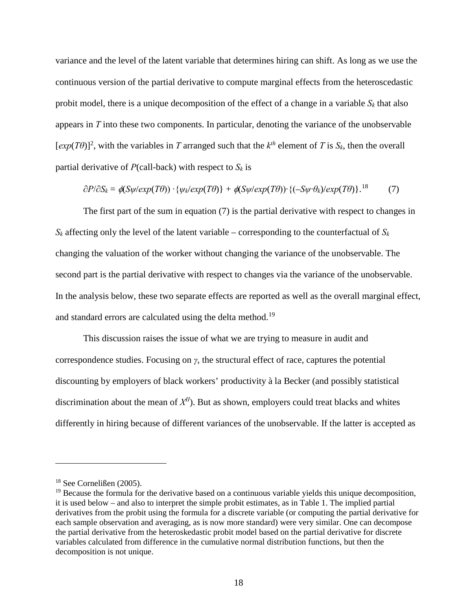variance and the level of the latent variable that determines hiring can shift. As long as we use the continuous version of the partial derivative to compute marginal effects from the heteroscedastic probit model, there is a unique decomposition of the effect of a change in a variable  $S_k$  that also appears in *T* into these two components. In particular, denoting the variance of the unobservable  $[exp(T\theta)]^2$ , with the variables in *T* arranged such that the  $k^{th}$  element of *T* is  $S_k$ , then the overall partial derivative of  $P$ (call-back) with respect to  $S_k$  is

$$
\frac{\partial P}{\partial S_k} = \phi(S\psi/exp(T\theta)) \cdot {\psi_k/exp(T\theta)} + \phi(S\psi/exp(T\theta)) \cdot {\left(-S\psi \cdot \theta_k\right/exp(T\theta)} \cdot {^{18}}
$$
 (7)

The first part of the sum in equation (7) is the partial derivative with respect to changes in  $S_k$  affecting only the level of the latent variable – corresponding to the counterfactual of  $S_k$ changing the valuation of the worker without changing the variance of the unobservable. The second part is the partial derivative with respect to changes via the variance of the unobservable. In the analysis below, these two separate effects are reported as well as the overall marginal effect, and standard errors are calculated using the delta method.<sup>19</sup>

This discussion raises the issue of what we are trying to measure in audit and correspondence studies. Focusing on *γ*, the structural effect of race, captures the potential discounting by employers of black workers' productivity à la Becker (and possibly statistical discrimination about the mean of  $X^{II}$ ). But as shown, employers could treat blacks and whites differently in hiring because of different variances of the unobservable. If the latter is accepted as

<span id="page-19-0"></span><sup>18</sup> See Cornelißen (2005).

<span id="page-19-1"></span> $19$  Because the formula for the derivative based on a continuous variable yields this unique decomposition, it is used below – and also to interpret the simple probit estimates, as in Table 1. The implied partial derivatives from the probit using the formula for a discrete variable (or computing the partial derivative for each sample observation and averaging, as is now more standard) were very similar. One can decompose the partial derivative from the heteroskedastic probit model based on the partial derivative for discrete variables calculated from difference in the cumulative normal distribution functions, but then the decomposition is not unique.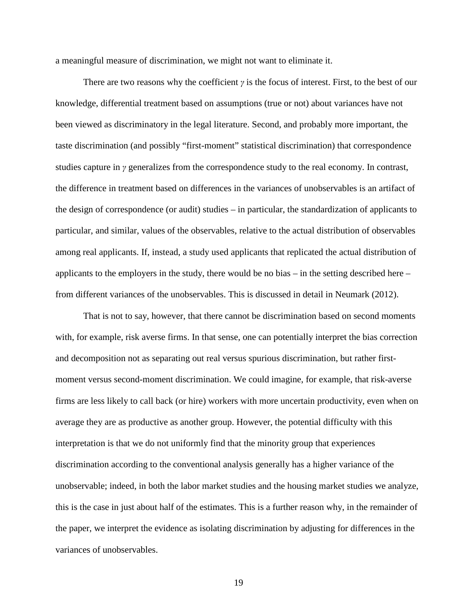a meaningful measure of discrimination, we might not want to eliminate it.

There are two reasons why the coefficient *γ* is the focus of interest. First, to the best of our knowledge, differential treatment based on assumptions (true or not) about variances have not been viewed as discriminatory in the legal literature. Second, and probably more important, the taste discrimination (and possibly "first-moment" statistical discrimination) that correspondence studies capture in *γ* generalizes from the correspondence study to the real economy. In contrast, the difference in treatment based on differences in the variances of unobservables is an artifact of the design of correspondence (or audit) studies – in particular, the standardization of applicants to particular, and similar, values of the observables, relative to the actual distribution of observables among real applicants. If, instead, a study used applicants that replicated the actual distribution of applicants to the employers in the study, there would be no bias – in the setting described here – from different variances of the unobservables. This is discussed in detail in Neumark (2012).

That is not to say, however, that there cannot be discrimination based on second moments with, for example, risk averse firms. In that sense, one can potentially interpret the bias correction and decomposition not as separating out real versus spurious discrimination, but rather firstmoment versus second-moment discrimination. We could imagine, for example, that risk-averse firms are less likely to call back (or hire) workers with more uncertain productivity, even when on average they are as productive as another group. However, the potential difficulty with this interpretation is that we do not uniformly find that the minority group that experiences discrimination according to the conventional analysis generally has a higher variance of the unobservable; indeed, in both the labor market studies and the housing market studies we analyze, this is the case in just about half of the estimates. This is a further reason why, in the remainder of the paper, we interpret the evidence as isolating discrimination by adjusting for differences in the variances of unobservables.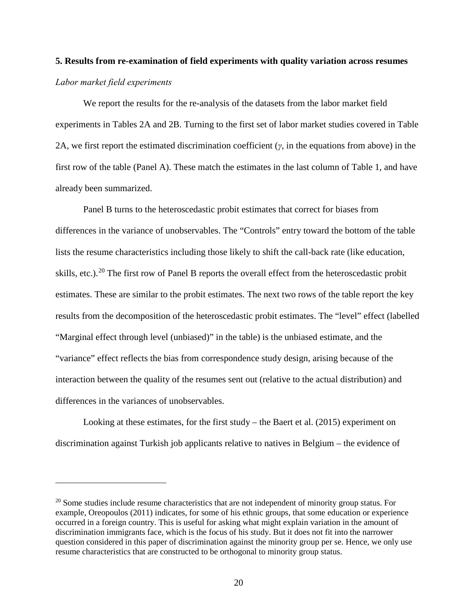# **5. Results from re-examination of field experiments with quality variation across resumes** *Labor market field experiments*

We report the results for the re-analysis of the datasets from the labor market field experiments in Tables 2A and 2B. Turning to the first set of labor market studies covered in Table 2A, we first report the estimated discrimination coefficient (*γ*, in the equations from above) in the first row of the table (Panel A). These match the estimates in the last column of Table 1, and have already been summarized.

Panel B turns to the heteroscedastic probit estimates that correct for biases from differences in the variance of unobservables. The "Controls" entry toward the bottom of the table lists the resume characteristics including those likely to shift the call-back rate (like education, skills, etc.).<sup>[20](#page-21-0)</sup> The first row of Panel B reports the overall effect from the heteroscedastic probit estimates. These are similar to the probit estimates. The next two rows of the table report the key results from the decomposition of the heteroscedastic probit estimates. The "level" effect (labelled "Marginal effect through level (unbiased)" in the table) is the unbiased estimate, and the "variance" effect reflects the bias from correspondence study design, arising because of the interaction between the quality of the resumes sent out (relative to the actual distribution) and differences in the variances of unobservables.

Looking at these estimates, for the first study – the Baert et al. (2015) experiment on discrimination against Turkish job applicants relative to natives in Belgium – the evidence of

<span id="page-21-0"></span><sup>&</sup>lt;sup>20</sup> Some studies include resume characteristics that are not independent of minority group status. For example, Oreopoulos (2011) indicates, for some of his ethnic groups, that some education or experience occurred in a foreign country. This is useful for asking what might explain variation in the amount of discrimination immigrants face, which is the focus of his study. But it does not fit into the narrower question considered in this paper of discrimination against the minority group per se. Hence, we only use resume characteristics that are constructed to be orthogonal to minority group status.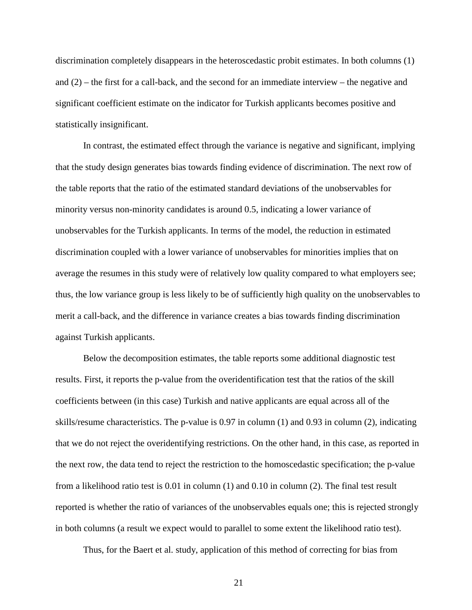discrimination completely disappears in the heteroscedastic probit estimates. In both columns (1) and (2) – the first for a call-back, and the second for an immediate interview – the negative and significant coefficient estimate on the indicator for Turkish applicants becomes positive and statistically insignificant.

In contrast, the estimated effect through the variance is negative and significant, implying that the study design generates bias towards finding evidence of discrimination. The next row of the table reports that the ratio of the estimated standard deviations of the unobservables for minority versus non-minority candidates is around 0.5, indicating a lower variance of unobservables for the Turkish applicants. In terms of the model, the reduction in estimated discrimination coupled with a lower variance of unobservables for minorities implies that on average the resumes in this study were of relatively low quality compared to what employers see; thus, the low variance group is less likely to be of sufficiently high quality on the unobservables to merit a call-back, and the difference in variance creates a bias towards finding discrimination against Turkish applicants.

Below the decomposition estimates, the table reports some additional diagnostic test results. First, it reports the p-value from the overidentification test that the ratios of the skill coefficients between (in this case) Turkish and native applicants are equal across all of the skills/resume characteristics. The p-value is 0.97 in column (1) and 0.93 in column (2), indicating that we do not reject the overidentifying restrictions. On the other hand, in this case, as reported in the next row, the data tend to reject the restriction to the homoscedastic specification; the p-value from a likelihood ratio test is 0.01 in column (1) and 0.10 in column (2). The final test result reported is whether the ratio of variances of the unobservables equals one; this is rejected strongly in both columns (a result we expect would to parallel to some extent the likelihood ratio test).

Thus, for the Baert et al. study, application of this method of correcting for bias from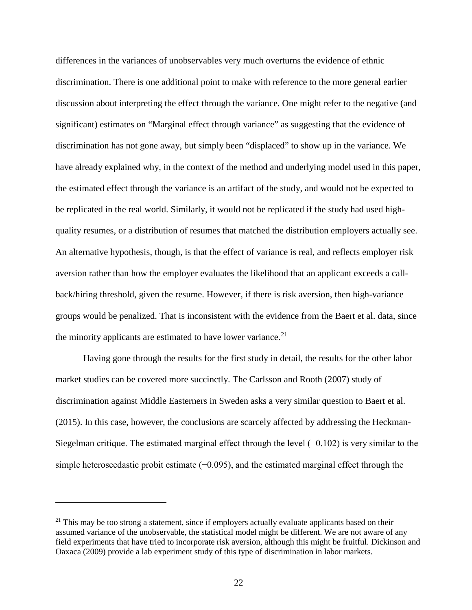differences in the variances of unobservables very much overturns the evidence of ethnic discrimination. There is one additional point to make with reference to the more general earlier discussion about interpreting the effect through the variance. One might refer to the negative (and significant) estimates on "Marginal effect through variance" as suggesting that the evidence of discrimination has not gone away, but simply been "displaced" to show up in the variance. We have already explained why, in the context of the method and underlying model used in this paper, the estimated effect through the variance is an artifact of the study, and would not be expected to be replicated in the real world. Similarly, it would not be replicated if the study had used highquality resumes, or a distribution of resumes that matched the distribution employers actually see. An alternative hypothesis, though, is that the effect of variance is real, and reflects employer risk aversion rather than how the employer evaluates the likelihood that an applicant exceeds a callback/hiring threshold, given the resume. However, if there is risk aversion, then high-variance groups would be penalized. That is inconsistent with the evidence from the Baert et al. data, since the minority applicants are estimated to have lower variance.<sup>21</sup>

Having gone through the results for the first study in detail, the results for the other labor market studies can be covered more succinctly. The Carlsson and Rooth (2007) study of discrimination against Middle Easterners in Sweden asks a very similar question to Baert et al. (2015). In this case, however, the conclusions are scarcely affected by addressing the Heckman-Siegelman critique. The estimated marginal effect through the level  $(-0.102)$  is very similar to the simple heteroscedastic probit estimate (−0.095), and the estimated marginal effect through the

<span id="page-23-0"></span> $21$  This may be too strong a statement, since if employers actually evaluate applicants based on their assumed variance of the unobservable, the statistical model might be different. We are not aware of any field experiments that have tried to incorporate risk aversion, although this might be fruitful. Dickinson and Oaxaca (2009) provide a lab experiment study of this type of discrimination in labor markets.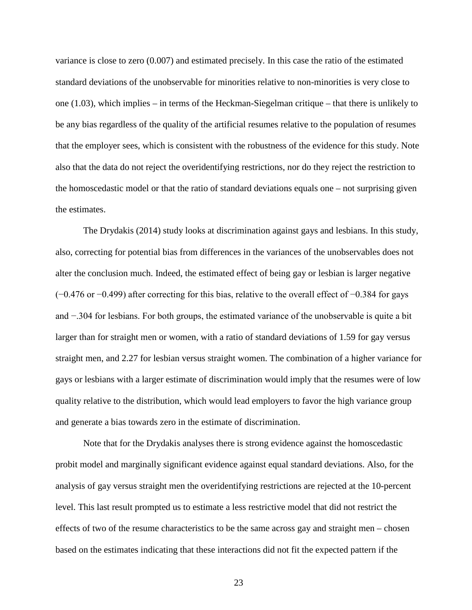variance is close to zero (0.007) and estimated precisely. In this case the ratio of the estimated standard deviations of the unobservable for minorities relative to non-minorities is very close to one (1.03), which implies – in terms of the Heckman-Siegelman critique – that there is unlikely to be any bias regardless of the quality of the artificial resumes relative to the population of resumes that the employer sees, which is consistent with the robustness of the evidence for this study. Note also that the data do not reject the overidentifying restrictions, nor do they reject the restriction to the homoscedastic model or that the ratio of standard deviations equals one – not surprising given the estimates.

The Drydakis (2014) study looks at discrimination against gays and lesbians. In this study, also, correcting for potential bias from differences in the variances of the unobservables does not alter the conclusion much. Indeed, the estimated effect of being gay or lesbian is larger negative (−0.476 or −0.499) after correcting for this bias, relative to the overall effect of −0.384 for gays and −.304 for lesbians. For both groups, the estimated variance of the unobservable is quite a bit larger than for straight men or women, with a ratio of standard deviations of 1.59 for gay versus straight men, and 2.27 for lesbian versus straight women. The combination of a higher variance for gays or lesbians with a larger estimate of discrimination would imply that the resumes were of low quality relative to the distribution, which would lead employers to favor the high variance group and generate a bias towards zero in the estimate of discrimination.

Note that for the Drydakis analyses there is strong evidence against the homoscedastic probit model and marginally significant evidence against equal standard deviations. Also, for the analysis of gay versus straight men the overidentifying restrictions are rejected at the 10-percent level. This last result prompted us to estimate a less restrictive model that did not restrict the effects of two of the resume characteristics to be the same across gay and straight men – chosen based on the estimates indicating that these interactions did not fit the expected pattern if the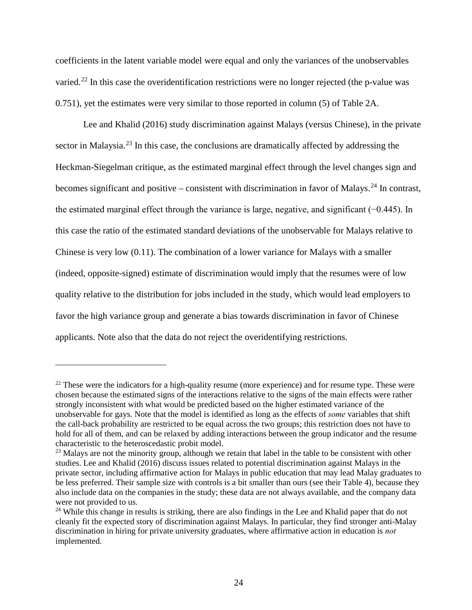coefficients in the latent variable model were equal and only the variances of the unobservables varied.<sup>[22](#page-25-0)</sup> In this case the overidentification restrictions were no longer rejected (the p-value was 0.751), yet the estimates were very similar to those reported in column (5) of Table 2A.

Lee and Khalid (2016) study discrimination against Malays (versus Chinese), in the private sector in Malaysia.<sup>[23](#page-25-1)</sup> In this case, the conclusions are dramatically affected by addressing the Heckman-Siegelman critique, as the estimated marginal effect through the level changes sign and becomes significant and positive – consistent with discrimination in favor of Malays.<sup>[24](#page-25-2)</sup> In contrast, the estimated marginal effect through the variance is large, negative, and significant (−0.445). In this case the ratio of the estimated standard deviations of the unobservable for Malays relative to Chinese is very low (0.11). The combination of a lower variance for Malays with a smaller (indeed, opposite-signed) estimate of discrimination would imply that the resumes were of low quality relative to the distribution for jobs included in the study, which would lead employers to favor the high variance group and generate a bias towards discrimination in favor of Chinese applicants. Note also that the data do not reject the overidentifying restrictions.

<span id="page-25-0"></span> $22$  These were the indicators for a high-quality resume (more experience) and for resume type. These were chosen because the estimated signs of the interactions relative to the signs of the main effects were rather strongly inconsistent with what would be predicted based on the higher estimated variance of the unobservable for gays. Note that the model is identified as long as the effects of *some* variables that shift the call-back probability are restricted to be equal across the two groups; this restriction does not have to hold for all of them, and can be relaxed by adding interactions between the group indicator and the resume characteristic to the heteroscedastic probit model.

<span id="page-25-1"></span><sup>&</sup>lt;sup>23</sup> Malays are not the minority group, although we retain that label in the table to be consistent with other studies. Lee and Khalid (2016) discuss issues related to potential discrimination against Malays in the private sector, including affirmative action for Malays in public education that may lead Malay graduates to be less preferred. Their sample size with controls is a bit smaller than ours (see their Table 4), because they also include data on the companies in the study; these data are not always available, and the company data were not provided to us.

<span id="page-25-2"></span><sup>&</sup>lt;sup>24</sup> While this change in results is striking, there are also findings in the Lee and Khalid paper that do not cleanly fit the expected story of discrimination against Malays. In particular, they find stronger anti-Malay discrimination in hiring for private university graduates, where affirmative action in education is *not*  implemented.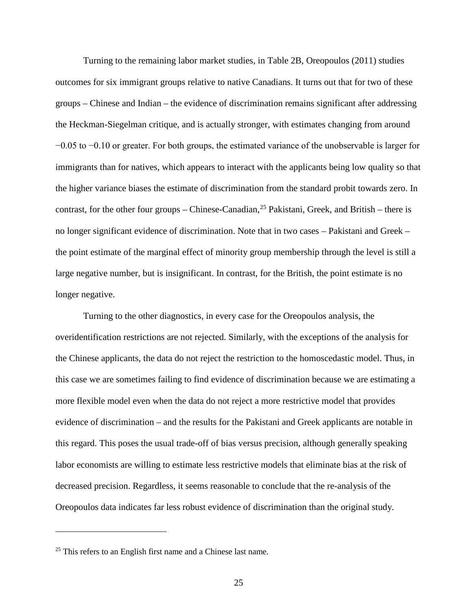Turning to the remaining labor market studies, in Table 2B, Oreopoulos (2011) studies outcomes for six immigrant groups relative to native Canadians. It turns out that for two of these groups – Chinese and Indian – the evidence of discrimination remains significant after addressing the Heckman-Siegelman critique, and is actually stronger, with estimates changing from around −0.05 to −0.10 or greater. For both groups, the estimated variance of the unobservable is larger for immigrants than for natives, which appears to interact with the applicants being low quality so that the higher variance biases the estimate of discrimination from the standard probit towards zero. In contrast, for the other four groups – Chinese-Canadian,  $^{25}$  Pakistani, Greek, and British – there is no longer significant evidence of discrimination. Note that in two cases – Pakistani and Greek – the point estimate of the marginal effect of minority group membership through the level is still a large negative number, but is insignificant. In contrast, for the British, the point estimate is no longer negative.

Turning to the other diagnostics, in every case for the Oreopoulos analysis, the overidentification restrictions are not rejected. Similarly, with the exceptions of the analysis for the Chinese applicants, the data do not reject the restriction to the homoscedastic model. Thus, in this case we are sometimes failing to find evidence of discrimination because we are estimating a more flexible model even when the data do not reject a more restrictive model that provides evidence of discrimination – and the results for the Pakistani and Greek applicants are notable in this regard. This poses the usual trade-off of bias versus precision, although generally speaking labor economists are willing to estimate less restrictive models that eliminate bias at the risk of decreased precision. Regardless, it seems reasonable to conclude that the re-analysis of the Oreopoulos data indicates far less robust evidence of discrimination than the original study.

<span id="page-26-0"></span><sup>&</sup>lt;sup>25</sup> This refers to an English first name and a Chinese last name.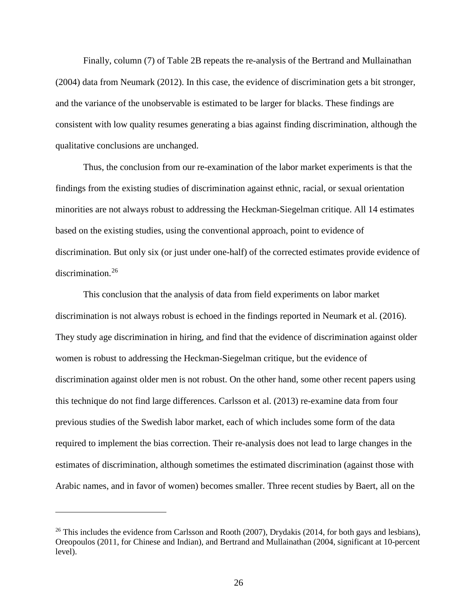Finally, column (7) of Table 2B repeats the re-analysis of the Bertrand and Mullainathan (2004) data from Neumark (2012). In this case, the evidence of discrimination gets a bit stronger, and the variance of the unobservable is estimated to be larger for blacks. These findings are consistent with low quality resumes generating a bias against finding discrimination, although the qualitative conclusions are unchanged.

Thus, the conclusion from our re-examination of the labor market experiments is that the findings from the existing studies of discrimination against ethnic, racial, or sexual orientation minorities are not always robust to addressing the Heckman-Siegelman critique. All 14 estimates based on the existing studies, using the conventional approach, point to evidence of discrimination. But only six (or just under one-half) of the corrected estimates provide evidence of discrimination.<sup>[26](#page-27-0)</sup>

This conclusion that the analysis of data from field experiments on labor market discrimination is not always robust is echoed in the findings reported in Neumark et al. (2016). They study age discrimination in hiring, and find that the evidence of discrimination against older women is robust to addressing the Heckman-Siegelman critique, but the evidence of discrimination against older men is not robust. On the other hand, some other recent papers using this technique do not find large differences. Carlsson et al. (2013) re-examine data from four previous studies of the Swedish labor market, each of which includes some form of the data required to implement the bias correction. Their re-analysis does not lead to large changes in the estimates of discrimination, although sometimes the estimated discrimination (against those with Arabic names, and in favor of women) becomes smaller. Three recent studies by Baert, all on the

<span id="page-27-0"></span><sup>&</sup>lt;sup>26</sup> This includes the evidence from Carlsson and Rooth (2007), Drydakis (2014, for both gays and lesbians), Oreopoulos (2011, for Chinese and Indian), and Bertrand and Mullainathan (2004, significant at 10-percent level).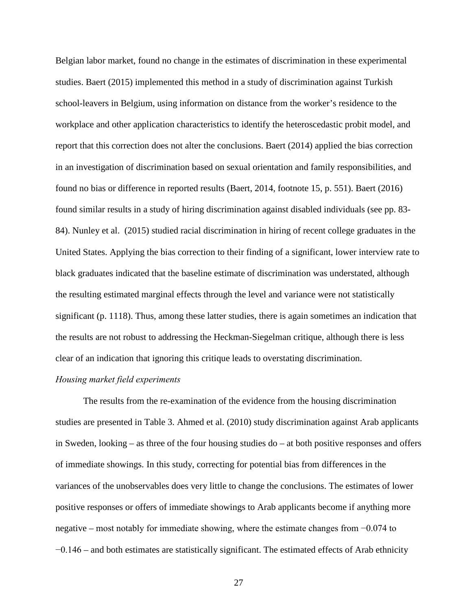Belgian labor market, found no change in the estimates of discrimination in these experimental studies. Baert (2015) implemented this method in a study of discrimination against Turkish school-leavers in Belgium, using information on distance from the worker's residence to the workplace and other application characteristics to identify the heteroscedastic probit model, and report that this correction does not alter the conclusions. Baert (2014) applied the bias correction in an investigation of discrimination based on sexual orientation and family responsibilities, and found no bias or difference in reported results (Baert, 2014, footnote 15, p. 551). Baert (2016) found similar results in a study of hiring discrimination against disabled individuals (see pp. 83- 84). Nunley et al. (2015) studied racial discrimination in hiring of recent college graduates in the United States. Applying the bias correction to their finding of a significant, lower interview rate to black graduates indicated that the baseline estimate of discrimination was understated, although the resulting estimated marginal effects through the level and variance were not statistically significant (p. 1118). Thus, among these latter studies, there is again sometimes an indication that the results are not robust to addressing the Heckman-Siegelman critique, although there is less clear of an indication that ignoring this critique leads to overstating discrimination.

### *Housing market field experiments*

The results from the re-examination of the evidence from the housing discrimination studies are presented in Table 3. Ahmed et al. (2010) study discrimination against Arab applicants in Sweden, looking – as three of the four housing studies do – at both positive responses and offers of immediate showings. In this study, correcting for potential bias from differences in the variances of the unobservables does very little to change the conclusions. The estimates of lower positive responses or offers of immediate showings to Arab applicants become if anything more negative – most notably for immediate showing, where the estimate changes from −0.074 to −0.146 – and both estimates are statistically significant. The estimated effects of Arab ethnicity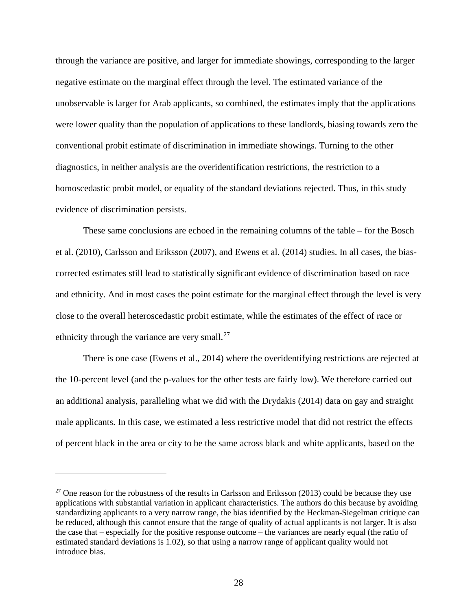through the variance are positive, and larger for immediate showings, corresponding to the larger negative estimate on the marginal effect through the level. The estimated variance of the unobservable is larger for Arab applicants, so combined, the estimates imply that the applications were lower quality than the population of applications to these landlords, biasing towards zero the conventional probit estimate of discrimination in immediate showings. Turning to the other diagnostics, in neither analysis are the overidentification restrictions, the restriction to a homoscedastic probit model, or equality of the standard deviations rejected. Thus, in this study evidence of discrimination persists.

These same conclusions are echoed in the remaining columns of the table – for the Bosch et al. (2010), Carlsson and Eriksson (2007), and Ewens et al. (2014) studies. In all cases, the biascorrected estimates still lead to statistically significant evidence of discrimination based on race and ethnicity. And in most cases the point estimate for the marginal effect through the level is very close to the overall heteroscedastic probit estimate, while the estimates of the effect of race or ethnicity through the variance are very small. $^{27}$  $^{27}$  $^{27}$ 

There is one case (Ewens et al., 2014) where the overidentifying restrictions are rejected at the 10-percent level (and the p-values for the other tests are fairly low). We therefore carried out an additional analysis, paralleling what we did with the Drydakis (2014) data on gay and straight male applicants. In this case, we estimated a less restrictive model that did not restrict the effects of percent black in the area or city to be the same across black and white applicants, based on the

<span id="page-29-0"></span><sup>&</sup>lt;sup>27</sup> One reason for the robustness of the results in Carlsson and Eriksson (2013) could be because they use applications with substantial variation in applicant characteristics. The authors do this because by avoiding standardizing applicants to a very narrow range, the bias identified by the Heckman-Siegelman critique can be reduced, although this cannot ensure that the range of quality of actual applicants is not larger. It is also the case that – especially for the positive response outcome – the variances are nearly equal (the ratio of estimated standard deviations is 1.02), so that using a narrow range of applicant quality would not introduce bias.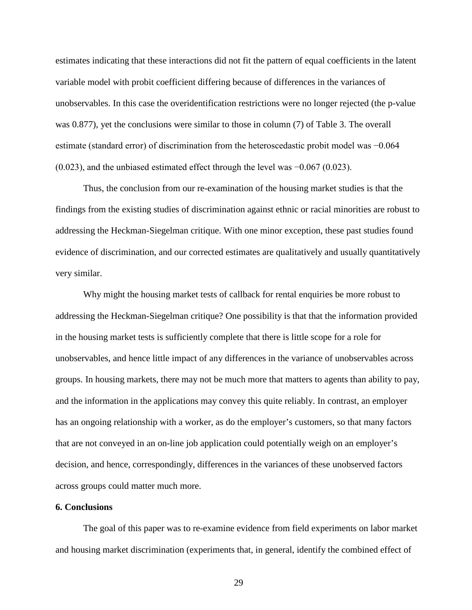estimates indicating that these interactions did not fit the pattern of equal coefficients in the latent variable model with probit coefficient differing because of differences in the variances of unobservables. In this case the overidentification restrictions were no longer rejected (the p-value was 0.877), yet the conclusions were similar to those in column (7) of Table 3. The overall estimate (standard error) of discrimination from the heteroscedastic probit model was −0.064 (0.023), and the unbiased estimated effect through the level was −0.067 (0.023).

Thus, the conclusion from our re-examination of the housing market studies is that the findings from the existing studies of discrimination against ethnic or racial minorities are robust to addressing the Heckman-Siegelman critique. With one minor exception, these past studies found evidence of discrimination, and our corrected estimates are qualitatively and usually quantitatively very similar.

Why might the housing market tests of callback for rental enquiries be more robust to addressing the Heckman-Siegelman critique? One possibility is that that the information provided in the housing market tests is sufficiently complete that there is little scope for a role for unobservables, and hence little impact of any differences in the variance of unobservables across groups. In housing markets, there may not be much more that matters to agents than ability to pay, and the information in the applications may convey this quite reliably. In contrast, an employer has an ongoing relationship with a worker, as do the employer's customers, so that many factors that are not conveyed in an on-line job application could potentially weigh on an employer's decision, and hence, correspondingly, differences in the variances of these unobserved factors across groups could matter much more.

### **6. Conclusions**

The goal of this paper was to re-examine evidence from field experiments on labor market and housing market discrimination (experiments that, in general, identify the combined effect of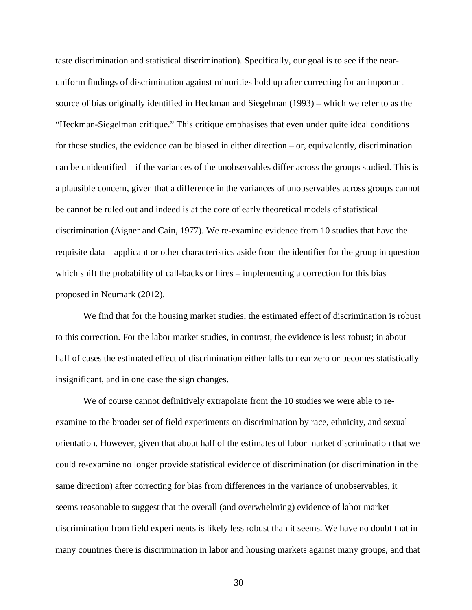taste discrimination and statistical discrimination). Specifically, our goal is to see if the nearuniform findings of discrimination against minorities hold up after correcting for an important source of bias originally identified in Heckman and Siegelman (1993) – which we refer to as the "Heckman-Siegelman critique." This critique emphasises that even under quite ideal conditions for these studies, the evidence can be biased in either direction – or, equivalently, discrimination can be unidentified – if the variances of the unobservables differ across the groups studied. This is a plausible concern, given that a difference in the variances of unobservables across groups cannot be cannot be ruled out and indeed is at the core of early theoretical models of statistical discrimination (Aigner and Cain, 1977). We re-examine evidence from 10 studies that have the requisite data – applicant or other characteristics aside from the identifier for the group in question which shift the probability of call-backs or hires – implementing a correction for this bias proposed in Neumark (2012).

We find that for the housing market studies, the estimated effect of discrimination is robust to this correction. For the labor market studies, in contrast, the evidence is less robust; in about half of cases the estimated effect of discrimination either falls to near zero or becomes statistically insignificant, and in one case the sign changes.

We of course cannot definitively extrapolate from the 10 studies we were able to reexamine to the broader set of field experiments on discrimination by race, ethnicity, and sexual orientation. However, given that about half of the estimates of labor market discrimination that we could re-examine no longer provide statistical evidence of discrimination (or discrimination in the same direction) after correcting for bias from differences in the variance of unobservables, it seems reasonable to suggest that the overall (and overwhelming) evidence of labor market discrimination from field experiments is likely less robust than it seems. We have no doubt that in many countries there is discrimination in labor and housing markets against many groups, and that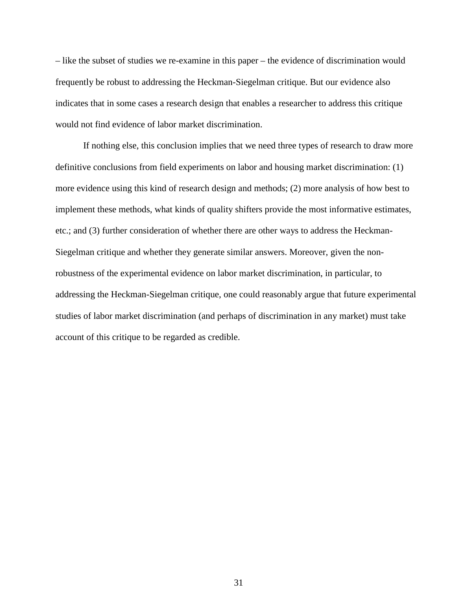– like the subset of studies we re-examine in this paper – the evidence of discrimination would frequently be robust to addressing the Heckman-Siegelman critique. But our evidence also indicates that in some cases a research design that enables a researcher to address this critique would not find evidence of labor market discrimination.

If nothing else, this conclusion implies that we need three types of research to draw more definitive conclusions from field experiments on labor and housing market discrimination: (1) more evidence using this kind of research design and methods; (2) more analysis of how best to implement these methods, what kinds of quality shifters provide the most informative estimates, etc.; and (3) further consideration of whether there are other ways to address the Heckman-Siegelman critique and whether they generate similar answers. Moreover, given the nonrobustness of the experimental evidence on labor market discrimination, in particular, to addressing the Heckman-Siegelman critique, one could reasonably argue that future experimental studies of labor market discrimination (and perhaps of discrimination in any market) must take account of this critique to be regarded as credible.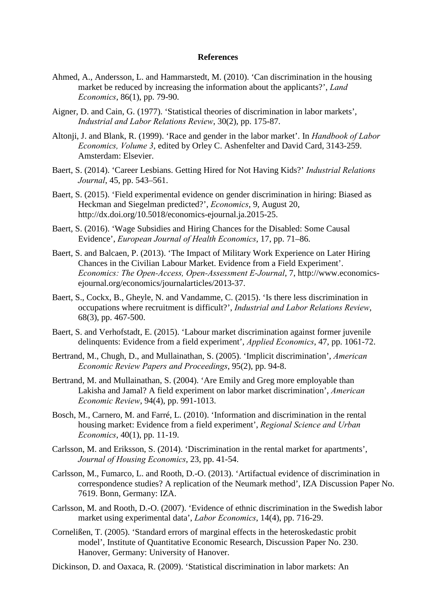### **References**

- Ahmed, A., Andersson, L. and Hammarstedt, M. (2010). 'Can discrimination in the housing market be reduced by increasing the information about the applicants?', *Land Economics*, 86(1), pp. 79-90.
- Aigner, D. and Cain, G. (1977). 'Statistical theories of discrimination in labor markets', *Industrial and Labor Relations Review*, 30(2), pp. 175-87.
- Altonji, J. and Blank, R. (1999). 'Race and gender in the labor market'. In *Handbook of Labor Economics, Volume 3*, edited by Orley C. Ashenfelter and David Card, 3143-259. Amsterdam: Elsevier.
- Baert, S. (2014). 'Career Lesbians. Getting Hired for Not Having Kids?' *Industrial Relations Journal*, 45, pp. 543–561.
- Baert, S. (2015). 'Field experimental evidence on gender discrimination in hiring: Biased as Heckman and Siegelman predicted?', *Economics*, 9, August 20, http://dx.doi.org/10.5018/economics-ejournal.ja.2015-25.
- Baert, S. (2016). 'Wage Subsidies and Hiring Chances for the Disabled: Some Causal Evidence', *European Journal of Health Economics*, 17, pp. 71–86.
- Baert, S. and Balcaen, P. (2013). 'The Impact of Military Work Experience on Later Hiring Chances in the Civilian Labour Market. Evidence from a Field Experiment'. *Economics: The Open-Access, Open-Assessment E-Journal*, 7, http://www.economicsejournal.org/economics/journalarticles/2013-37.
- Baert, S., Cockx, B., Gheyle, N. and Vandamme, C. (2015). 'Is there less discrimination in occupations where recruitment is difficult?', *Industrial and Labor Relations Review*, 68(3), pp. 467-500.
- Baert, S. and Verhofstadt, E. (2015). 'Labour market discrimination against former juvenile delinquents: Evidence from a field experiment', *Applied Economics*, 47, pp. 1061-72.
- Bertrand, M., Chugh, D., and Mullainathan, S. (2005). 'Implicit discrimination', *American Economic Review Papers and Proceedings*, 95(2), pp. 94-8.
- Bertrand, M. and Mullainathan, S. (2004). 'Are Emily and Greg more employable than Lakisha and Jamal? A field experiment on labor market discrimination', *American Economic Review*, 94(4), pp. 991-1013.
- Bosch, M., Carnero, M. and Farré, L. (2010). 'Information and discrimination in the rental housing market: Evidence from a field experiment', *Regional Science and Urban Economics*, 40(1), pp. 11-19.
- Carlsson, M. and Eriksson, S. (2014). 'Discrimination in the rental market for apartments', *Journal of Housing Economics*, 23, pp. 41-54.
- Carlsson, M., Fumarco, L. and Rooth, D.-O. (2013). 'Artifactual evidence of discrimination in correspondence studies? A replication of the Neumark method', IZA Discussion Paper No. 7619. Bonn, Germany: IZA.
- Carlsson, M. and Rooth, D.-O. (2007). 'Evidence of ethnic discrimination in the Swedish labor market using experimental data', *Labor Economics*, 14(4), pp. 716-29.
- Cornelißen, T. (2005). 'Standard errors of marginal effects in the heteroskedastic probit model', Institute of Quantitative Economic Research, Discussion Paper No. 230. Hanover, Germany: University of Hanover.
- Dickinson, D. and Oaxaca, R. (2009). 'Statistical discrimination in labor markets: An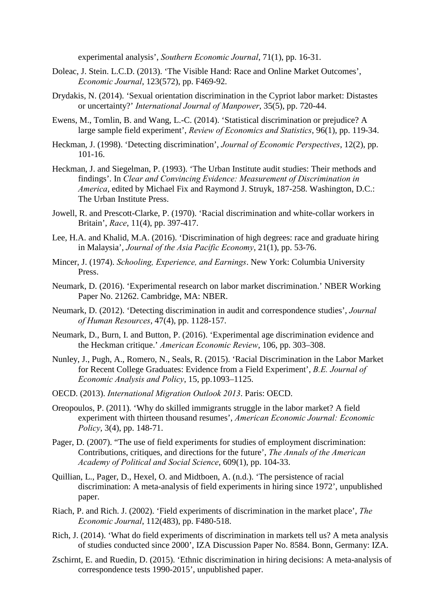experimental analysis', *Southern Economic Journal*, 71(1), pp. 16-31.

- Doleac, J. Stein. L.C.D. (2013). 'The Visible Hand: Race and Online Market Outcomes', *Economic Journal*, 123(572), pp. F469-92.
- Drydakis, N. (2014). 'Sexual orientation discrimination in the Cypriot labor market: Distastes or uncertainty?' *International Journal of Manpower*, 35(5), pp. 720-44.
- Ewens, M., Tomlin, B. and Wang, L.-C. (2014). 'Statistical discrimination or prejudice? A large sample field experiment', *Review of Economics and Statistics*, 96(1), pp. 119-34.
- Heckman, J. (1998). 'Detecting discrimination', *Journal of Economic Perspectives*, 12(2), pp. 101-16.
- Heckman, J. and Siegelman, P. (1993). 'The Urban Institute audit studies: Their methods and findings'. In *Clear and Convincing Evidence: Measurement of Discrimination in America*, edited by Michael Fix and Raymond J. Struyk, 187-258. Washington, D.C.: The Urban Institute Press.
- Jowell, R. and Prescott-Clarke, P. (1970). 'Racial discrimination and white-collar workers in Britain', *Race*, 11(4), pp. 397-417.
- Lee, H.A. and Khalid, M.A. (2016). 'Discrimination of high degrees: race and graduate hiring in Malaysia', *Journal of the Asia Pacific Economy*, 21(1), pp. 53-76.
- Mincer, J. (1974). *Schooling, Experience, and Earnings*. New York: Columbia University Press.
- Neumark, D. (2016). 'Experimental research on labor market discrimination.' NBER Working Paper No. 21262. Cambridge, MA: NBER.
- Neumark, D. (2012). 'Detecting discrimination in audit and correspondence studies', *Journal of Human Resources*, 47(4), pp. 1128-157.
- Neumark, D., Burn, I. and Button, P. (2016). 'Experimental age discrimination evidence and the Heckman critique.' *American Economic Review*, 106, pp. 303–308.
- Nunley, J., Pugh, A., Romero, N., Seals, R. (2015). 'Racial Discrimination in the Labor Market for Recent College Graduates: Evidence from a Field Experiment', *B.E. Journal of Economic Analysis and Policy*, 15, pp.1093–1125.
- OECD. (2013). *International Migration Outlook 2013*. Paris: OECD.
- Oreopoulos, P. (2011). 'Why do skilled immigrants struggle in the labor market? A field experiment with thirteen thousand resumes', *American Economic Journal: Economic Policy*, 3(4), pp. 148-71.
- Pager, D. (2007). "The use of field experiments for studies of employment discrimination: Contributions, critiques, and directions for the future', *The Annals of the American Academy of Political and Social Science*, 609(1), pp. 104-33.
- Quillian, L., Pager, D., Hexel, O. and Midtboen, A. (n.d.). 'The persistence of racial discrimination: A meta-analysis of field experiments in hiring since 1972', unpublished paper.
- Riach, P. and Rich. J. (2002). 'Field experiments of discrimination in the market place', *The Economic Journal*, 112(483), pp. F480-518.
- Rich, J. (2014). 'What do field experiments of discrimination in markets tell us? A meta analysis of studies conducted since 2000', IZA Discussion Paper No. 8584. Bonn, Germany: IZA.
- Zschirnt, E. and Ruedin, D. (2015). 'Ethnic discrimination in hiring decisions: A meta-analysis of correspondence tests 1990-2015', unpublished paper.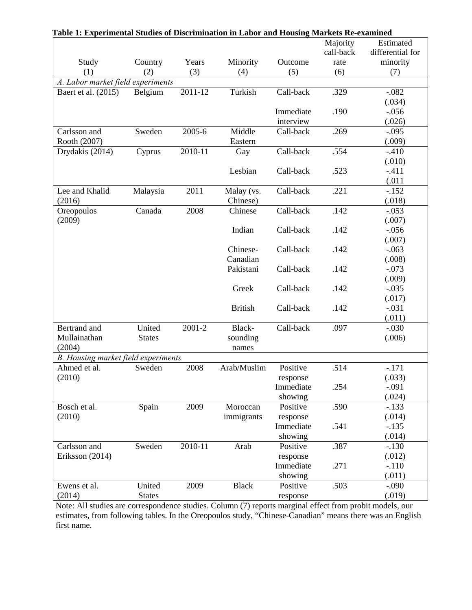| Table 1: Experimental Studies of Discrimination in Labor and Housing Markets Re-examined |               |         |                |           |           |                  |  |  |  |  |
|------------------------------------------------------------------------------------------|---------------|---------|----------------|-----------|-----------|------------------|--|--|--|--|
|                                                                                          |               |         |                |           | Majority  | Estimated        |  |  |  |  |
|                                                                                          |               |         |                |           | call-back | differential for |  |  |  |  |
| Study                                                                                    | Country       | Years   | Minority       | Outcome   | rate      | minority         |  |  |  |  |
| (1)                                                                                      | (2)           | (3)     | (4)            | (5)       | (6)       | (7)              |  |  |  |  |
| A. Labor market field experiments                                                        |               |         |                |           |           |                  |  |  |  |  |
| Baert et al. (2015)                                                                      | Belgium       | 2011-12 | Turkish        | Call-back | .329      | $-.082$          |  |  |  |  |
|                                                                                          |               |         |                |           | .190      | (.034)           |  |  |  |  |
|                                                                                          |               |         |                | Immediate |           | $-0.056$         |  |  |  |  |
|                                                                                          |               |         |                | interview |           | (.026)           |  |  |  |  |
| Carlsson and                                                                             | Sweden        | 2005-6  | Middle         | Call-back | .269      | $-.095$          |  |  |  |  |
| Rooth (2007)                                                                             |               |         | Eastern        |           |           | (.009)           |  |  |  |  |
| Drydakis (2014)                                                                          | Cyprus        | 2010-11 | Gay            | Call-back | .554      | $-.410$          |  |  |  |  |
|                                                                                          |               |         |                |           |           | (.010)           |  |  |  |  |
|                                                                                          |               |         | Lesbian        | Call-back | .523      | $-411$           |  |  |  |  |
|                                                                                          |               |         |                |           |           | (.011)           |  |  |  |  |
| Lee and Khalid                                                                           | Malaysia      | 2011    | Malay (vs.     | Call-back | .221      | $-152$           |  |  |  |  |
| (2016)                                                                                   |               |         | Chinese)       |           |           | (.018)           |  |  |  |  |
| Oreopoulos                                                                               | Canada        | 2008    | Chinese        | Call-back | .142      | $-.053$          |  |  |  |  |
| (2009)                                                                                   |               |         |                |           |           | (.007)           |  |  |  |  |
|                                                                                          |               |         | Indian         | Call-back | .142      | $-.056$          |  |  |  |  |
|                                                                                          |               |         |                |           |           | (.007)           |  |  |  |  |
|                                                                                          |               |         | Chinese-       | Call-back | .142      | $-.063$          |  |  |  |  |
|                                                                                          |               |         | Canadian       |           |           | (.008)           |  |  |  |  |
|                                                                                          |               |         | Pakistani      | Call-back | .142      | $-.073$          |  |  |  |  |
|                                                                                          |               |         |                |           |           | (.009)           |  |  |  |  |
|                                                                                          |               |         | Greek          | Call-back | .142      | $-.035$          |  |  |  |  |
|                                                                                          |               |         |                |           |           | (.017)           |  |  |  |  |
|                                                                                          |               |         | <b>British</b> | Call-back | .142      | $-.031$          |  |  |  |  |
|                                                                                          |               |         |                |           |           | (.011)           |  |  |  |  |
| Bertrand and                                                                             | United        | 2001-2  | Black-         | Call-back | .097      | $-.030$          |  |  |  |  |
| Mullainathan                                                                             | <b>States</b> |         | sounding       |           |           | (.006)           |  |  |  |  |
| (2004)                                                                                   |               |         | names          |           |           |                  |  |  |  |  |
| B. Housing market field experiments                                                      |               |         |                |           |           |                  |  |  |  |  |
| Ahmed et al.                                                                             | Sweden        | 2008    |                | Positive  | .514      | $-.171$          |  |  |  |  |
| (2010)                                                                                   |               |         |                | response  |           | (.033)           |  |  |  |  |
|                                                                                          |               |         |                | Immediate | .254      | $-.091$          |  |  |  |  |
|                                                                                          |               |         |                | showing   |           | (.024)           |  |  |  |  |
| Bosch et al.                                                                             | Spain         | 2009    | Moroccan       | Positive  | .590      | $-133$           |  |  |  |  |
| (2010)                                                                                   |               |         | immigrants     | response  |           | (.014)           |  |  |  |  |
|                                                                                          |               |         |                | Immediate | .541      | $-135$           |  |  |  |  |
|                                                                                          |               |         |                | showing   |           | (.014)           |  |  |  |  |
| Carlsson and                                                                             | Sweden        | 2010-11 | Arab           | Positive  | .387      | $-130$           |  |  |  |  |
| Eriksson (2014)                                                                          |               |         |                | response  |           | (.012)           |  |  |  |  |
|                                                                                          |               |         |                | Immediate | .271      | $-110$           |  |  |  |  |
|                                                                                          |               |         |                | showing   |           | (.011)           |  |  |  |  |
| Ewens et al.                                                                             | United        | 2009    | <b>Black</b>   | Positive  | .503      | $-0.090$         |  |  |  |  |
| (2014)                                                                                   | <b>States</b> |         |                | response  |           | (.019)           |  |  |  |  |

Note: All studies are correspondence studies. Column (7) reports marginal effect from probit models, our estimates, from following tables. In the Oreopoulos study, "Chinese-Canadian" means there was an English first name.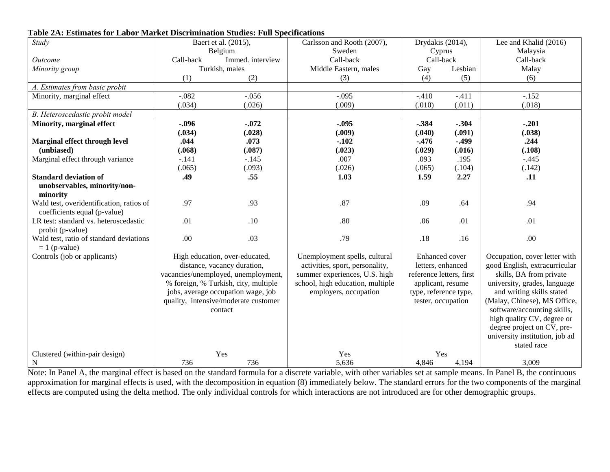| $\overline{Study}$                       | Baert et al. (2015),<br>Belgium                                                                                                                                                                                                       |                | Carlsson and Rooth (2007),       | Drydakis (2014),         |         | Lee and Khalid (2016)                                                                    |
|------------------------------------------|---------------------------------------------------------------------------------------------------------------------------------------------------------------------------------------------------------------------------------------|----------------|----------------------------------|--------------------------|---------|------------------------------------------------------------------------------------------|
|                                          |                                                                                                                                                                                                                                       |                | Sweden                           | Cyprus                   |         | Malaysia                                                                                 |
| <i>Outcome</i>                           | Immed. interview<br>Call-back                                                                                                                                                                                                         |                | Call-back                        | Call-back                |         | Call-back                                                                                |
| Minority group                           |                                                                                                                                                                                                                                       | Turkish, males | Middle Eastern, males            | Gay                      | Lesbian | Malay                                                                                    |
|                                          | (1)                                                                                                                                                                                                                                   | (2)            | (3)                              | (4)                      | (5)     | (6)                                                                                      |
| A. Estimates from basic probit           |                                                                                                                                                                                                                                       |                |                                  |                          |         |                                                                                          |
| Minority, marginal effect                | $-.082$                                                                                                                                                                                                                               | $-.056$        | $-.095$                          | $-.410$                  | $-.411$ | $-.152$                                                                                  |
|                                          | (.034)                                                                                                                                                                                                                                | (.026)         | (.009)                           | (.010)                   | (.011)  | (.018)                                                                                   |
| B. Heteroscedastic probit model          |                                                                                                                                                                                                                                       |                |                                  |                          |         |                                                                                          |
| Minority, marginal effect                | $-.096$                                                                                                                                                                                                                               | $-.072$        | $-.095$                          | $-384$                   | $-.304$ | $-.201$                                                                                  |
|                                          | (.034)                                                                                                                                                                                                                                | (.028)         | (.009)                           | (.040)                   | (.091)  | (.038)                                                                                   |
| Marginal effect through level            | .044                                                                                                                                                                                                                                  | .073           | $-.102$                          | $-.476$                  | $-.499$ | .244                                                                                     |
| (unbiased)                               | (.068)                                                                                                                                                                                                                                | (.087)         | (.023)                           | (.029)                   | (.016)  | (.108)                                                                                   |
| Marginal effect through variance         | $-.141$                                                                                                                                                                                                                               | $-.145$        | .007                             | .093                     | .195    | $-.445$                                                                                  |
|                                          | (.065)                                                                                                                                                                                                                                | (.093)         | (.026)                           | (.065)                   | (.104)  | (.142)                                                                                   |
| <b>Standard deviation of</b>             | .49                                                                                                                                                                                                                                   | .55            | 1.03                             | 1.59                     | 2.27    | .11                                                                                      |
| unobservables, minority/non-             |                                                                                                                                                                                                                                       |                |                                  |                          |         |                                                                                          |
| minority                                 |                                                                                                                                                                                                                                       |                |                                  |                          |         |                                                                                          |
| Wald test, overidentification, ratios of | .97                                                                                                                                                                                                                                   | .93            | .87                              | .09                      | .64     | .94                                                                                      |
| coefficients equal (p-value)             |                                                                                                                                                                                                                                       |                |                                  |                          |         |                                                                                          |
| LR test: standard vs. heteroscedastic    | .01                                                                                                                                                                                                                                   | .10            | .80                              | .06                      | .01     | .01                                                                                      |
| probit (p-value)                         |                                                                                                                                                                                                                                       |                |                                  |                          |         |                                                                                          |
| Wald test, ratio of standard deviations  | .00                                                                                                                                                                                                                                   | .03            | .79                              | .18                      | .16     | .00                                                                                      |
| $= 1$ (p-value)                          |                                                                                                                                                                                                                                       |                |                                  |                          |         |                                                                                          |
| Controls (job or applicants)             | High education, over-educated,<br>distance, vacancy duration,<br>vacancies/unemployed, unemployment,<br>% foreign, % Turkish, city, multiple<br>jobs, average occupation wage, job<br>quality, intensive/moderate customer<br>contact |                | Unemployment spells, cultural    | <b>Enhanced</b> cover    |         | Occupation, cover letter with                                                            |
|                                          |                                                                                                                                                                                                                                       |                | activities, sport, personality,  | letters, enhanced        |         | good English, extracurricular<br>skills, BA from private<br>university, grades, language |
|                                          |                                                                                                                                                                                                                                       |                | summer experiences, U.S. high    | reference letters, first |         |                                                                                          |
|                                          |                                                                                                                                                                                                                                       |                | school, high education, multiple | applicant, resume        |         |                                                                                          |
|                                          |                                                                                                                                                                                                                                       |                | employers, occupation            | type, reference type,    |         | and writing skills stated                                                                |
|                                          |                                                                                                                                                                                                                                       |                |                                  | tester, occupation       |         | (Malay, Chinese), MS Office,                                                             |
|                                          |                                                                                                                                                                                                                                       |                |                                  |                          |         | software/accounting skills,                                                              |
|                                          |                                                                                                                                                                                                                                       |                |                                  |                          |         | high quality CV, degree or                                                               |
|                                          |                                                                                                                                                                                                                                       |                |                                  |                          |         | degree project on CV, pre-                                                               |
|                                          |                                                                                                                                                                                                                                       |                |                                  |                          |         | university institution, job ad                                                           |
|                                          |                                                                                                                                                                                                                                       |                |                                  |                          |         | stated race                                                                              |
| Clustered (within-pair design)           | Yes                                                                                                                                                                                                                                   |                | Yes                              | Yes                      |         |                                                                                          |
| N                                        | 736<br>736                                                                                                                                                                                                                            |                | 5,636                            | 4,846                    | 4,194   | 3,009                                                                                    |

# **Table 2A: Estimates for Labor Market Discrimination Studies: Full Specifications**

Note: In Panel A, the marginal effect is based on the standard formula for a discrete variable, with other variables set at sample means. In Panel B, the continuous approximation for marginal effects is used, with the decomposition in equation (8) immediately below. The standard errors for the two components of the marginal effects are computed using the delta method. The only individual controls for which interactions are not introduced are for other demographic groups.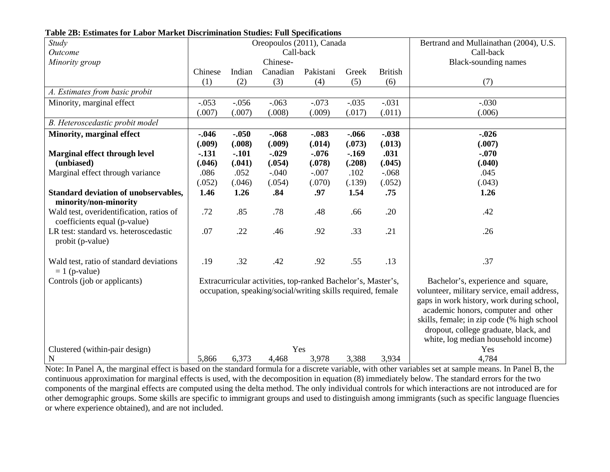| Study                                       | Oreopoulos (2011), Canada |         |                                                              |                                             |                                     | Bertrand and Mullainathan (2004), U.S. |                                            |  |  |
|---------------------------------------------|---------------------------|---------|--------------------------------------------------------------|---------------------------------------------|-------------------------------------|----------------------------------------|--------------------------------------------|--|--|
| Outcome                                     | Call-back                 |         |                                                              |                                             |                                     |                                        | Call-back                                  |  |  |
| Minority group                              | Chinese-                  |         |                                                              |                                             |                                     |                                        | <b>Black-sounding names</b>                |  |  |
|                                             | Chinese                   | Indian  | Canadian                                                     | Pakistani                                   | Greek                               | <b>British</b>                         |                                            |  |  |
|                                             | (1)                       | (2)     | (3)                                                          | (4)                                         | (5)                                 | (6)                                    | (7)                                        |  |  |
| A. Estimates from basic probit              |                           |         |                                                              |                                             |                                     |                                        |                                            |  |  |
| Minority, marginal effect                   | $-.053$                   | $-.056$ | $-.063$                                                      | $-.073$                                     | $-.035$                             | $-.031$                                | $-.030$                                    |  |  |
|                                             | (.007)                    | (.007)  | (.008)                                                       | (.009)                                      | (.017)                              | (.011)                                 | (.006)                                     |  |  |
| B. Heteroscedastic probit model             |                           |         |                                                              |                                             |                                     |                                        |                                            |  |  |
| <b>Minority, marginal effect</b>            | $-0.046$                  | $-.050$ | $-.068$                                                      | $-.083$                                     | $-0.066$                            | $-.038$                                | $-.026$                                    |  |  |
|                                             | (.009)                    | (.008)  | (.009)                                                       | (.014)                                      | (.073)                              | (.013)                                 | (.007)                                     |  |  |
| Marginal effect through level               | $-131$                    | $-.101$ | $-.029$                                                      | $-0.076$                                    | $-169$                              | .031                                   | $-.070$                                    |  |  |
| (unbiased)                                  | (.046)                    | (.041)  | (.054)                                                       | (.078)                                      | (.208)                              | (.045)                                 | (.040)                                     |  |  |
| Marginal effect through variance            | .086                      | .052    | $-.040$                                                      | $-.007$                                     | .102                                | $-.068$                                | .045                                       |  |  |
|                                             | (.052)                    | (.046)  | (.054)                                                       | (.070)                                      | (.139)                              | (.052)                                 | (.043)                                     |  |  |
| <b>Standard deviation of unobservables,</b> | 1.46                      | 1.26    | .84                                                          | .97                                         | 1.54                                | .75                                    | 1.26                                       |  |  |
| minority/non-minority                       |                           |         |                                                              |                                             |                                     |                                        |                                            |  |  |
| Wald test, overidentification, ratios of    | .72                       | .85     | .78                                                          | .48                                         | .66                                 | .20                                    | .42                                        |  |  |
| coefficients equal (p-value)                |                           |         |                                                              |                                             |                                     |                                        |                                            |  |  |
| LR test: standard vs. heteroscedastic       | .07                       | .22     | .46                                                          | .92                                         | .33                                 | .21                                    | .26                                        |  |  |
| probit (p-value)                            |                           |         |                                                              |                                             |                                     |                                        |                                            |  |  |
|                                             |                           |         |                                                              |                                             |                                     |                                        |                                            |  |  |
| Wald test, ratio of standard deviations     | .19                       | .32     | .42                                                          | .92                                         | .55                                 | .13                                    | .37                                        |  |  |
| $= 1$ (p-value)                             |                           |         |                                                              |                                             |                                     |                                        |                                            |  |  |
| Controls (job or applicants)                |                           |         | Extracurricular activities, top-ranked Bachelor's, Master's, |                                             | Bachelor's, experience and square,  |                                        |                                            |  |  |
|                                             |                           |         | occupation, speaking/social/writing skills required, female  | volunteer, military service, email address, |                                     |                                        |                                            |  |  |
|                                             |                           |         |                                                              | gaps in work history, work during school,   |                                     |                                        |                                            |  |  |
|                                             |                           |         |                                                              |                                             | academic honors, computer and other |                                        |                                            |  |  |
|                                             |                           |         |                                                              |                                             |                                     |                                        | skills, female; in zip code (% high school |  |  |
|                                             |                           |         |                                                              |                                             |                                     |                                        | dropout, college graduate, black, and      |  |  |
|                                             |                           |         |                                                              |                                             |                                     |                                        | white, log median household income)        |  |  |
| Clustered (within-pair design)              | Yes                       |         |                                                              | Yes                                         |                                     |                                        |                                            |  |  |
| $\mathbf N$                                 | 5,866                     | 6,373   | 4,468                                                        | 3,978                                       | 3,388                               | 3,934                                  | 4,784                                      |  |  |

**Table 2B: Estimates for Labor Market Discrimination Studies: Full Specifications**

Note: In Panel A, the marginal effect is based on the standard formula for a discrete variable, with other variables set at sample means. In Panel B, the continuous approximation for marginal effects is used, with the decomposition in equation (8) immediately below. The standard errors for the two components of the marginal effects are computed using the delta method. The only individual controls for which interactions are not introduced are for other demographic groups. Some skills are specific to immigrant groups and used to distinguish among immigrants (such as specific language fluencies or where experience obtained), and are not included.